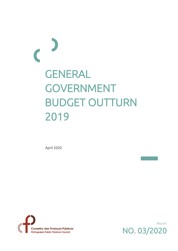# GENERAL GOVERNMENT BUDGET OUTTURN 2019

April 2020



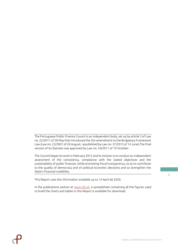The Portuguese Public Finance Council is an independent body, set up by article 3 of Law no. 22/2011 of 20 May that introduced the 5th amendment to the Budgetary Framework Law (Law no. 22/2001 of 20 August, republished by Law no. 37/2013 of 14 June).The final version of its Statutes was approved by Law no. 54/2011 of 19 October.

The Council began its work in February 2012 and its mission is to conduct an independent assessment of the consistency, compliance with the stated objectives and the sustainability of public finances, while promoting fiscal transparency, so as to contribute to the quality of democracy and of political economic decisions and so strengthen the State's financial credibility.

This Report uses the information available up to 14 April de 2020.

In the publications section at [www.cfp.pt,](https://www.cfp.pt/en/publications/budget-outturn/general-government-recorded-in-2019-the-first-annual-surplus-since-1995) a spreadsheet containing all the figures used to build the charts and tables in this Report is available for download.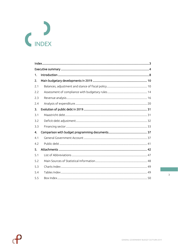<span id="page-2-0"></span>

| 1.  |  |
|-----|--|
| 2.  |  |
| 2.1 |  |
| 2.2 |  |
| 2.3 |  |
| 2.4 |  |
| 3.  |  |
| 3.1 |  |
| 3.2 |  |
| 3.3 |  |
| 4.  |  |
| 4.1 |  |
| 4.2 |  |
| 5.  |  |
| 5.1 |  |
| 5.2 |  |
| 5.3 |  |
| 5.4 |  |
| 5.5 |  |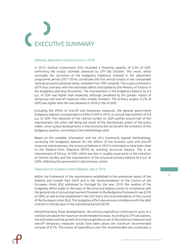# <span id="page-3-0"></span>**ECUTIVE SUMMARY**

# *Balances, adjustment and fiscal stance in 2019*

In 2019, General Government (GG) recorded a financing capacity of 0.2% of GDP, confirming the surplus estimate advanced by CFP last October. This result, which concludes the correction of the budgetary imbalance initiated in the adjustment programme period (2011-2014), constitutes the first annual surplus in the comparable national accounts statistical series, available from 1995 onwards. The surplus achieved in 2019 thus contrasts with the estimated deficit anticipated by the Ministry of Finance in the budgetary planning documents. The improvement in the budgetary balance by 0.6 p.p. of GDP was higher than expected, although penalised by the greater impact of temporary and one-off measures than initially foreseen. The primary surplus (3.2% of GDP) was higher than the one obtained in 2018 (2.9% of GDP).

Excluding the effect of one-off and temporary measures, the general government budgetary balance corresponded to 0.8% of GDP in 2019, an annual improvement of 0.8 p.p. of GDP. The reduction of the interest burden on GDP justifies around half of this improvement, the other half being the result of the discretionary action of the policy maker, since cyclical developments in the economy did not benefit the evolution of the budgetary position, according to the methodology used.

Based on the available information and the EU's Commonly Agreed Methodology, correcting the budgetary balance for the effects of the business cycle and one-off measures and temporary, the structural balance in 2019 is estimated to have been close to the Medium-Term Objective (MTO) by reaching structural balance. This is an improvement of 0.8 p.p. of GDP, which was due in roughly equal parts to the reduction of interest burden and the improvement of the structural primary balance (0.4 p.p. of GDP), reflecting the government's discretionary ,action.

# *Assessment of compliance with budgetary rules in 2019*

Within the framework of the requirements established in the preventive aspect of the Stability and Growth Pact (SGP) and in the recommendation of the Council of the European Union (EU) addressed to Portugal for the year 2019, the reading of the budgetary effort made on the basis of the structural balance points to compliance with the general rule of annual improvement foreseen in the Budgetary Framework Law (0.5% of GDP), as well as that established in the SGP and in the recommendation of the Council of the European Union (EU). This budgetary effort also ensures compliance with the debt criterion in the last year of the transitional period (2019).

Notwithstanding these developments, net primary expenditure continued to grow at a nominal rate above the maximum recommended increase. According to CFP calculations, the estimated nominal growth of primary expenditure net of discretionary measures and one-off temporary measures would have been above the maximum recommended increase of 0.7%. This excess of expenditure over the recommended one constitutes a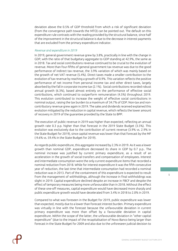deviation above the 0.5% of GDP threshold from which a risk of significant deviation (from the convergence path towards the MTO) can be pointed out. The default on this expenditure rule contrasts with the reading provided by the structural balance, since half of the improvement in the structural balance is due to the decrease in interest payments that are excluded from the primary expenditure indicator.

# *Revenue and expenditure in 2019*

In 2019, general government revenue grew by 3.8%, practically in line with the change in GDP, with the ratio of that budgetary aggregate to GDP standing at 42.9%, the same as in 2018. Tax and social contributions revenue continued to be crucial to the evolution of revenue. More than four-fifths of general government tax revenue was due to the good performance of indirect tax revenue, the 3.9% variation of which was mainly based on the growth of net VAT revenue (5.4%). Direct taxes made a smaller contribution to the evolution of tax revenue by reaching a growth of 0.9%. This variation reflects the positive performance of net income from personal income tax and other direct taxes, largely absorbed by the fall in corporate income tax (2.1%). Social contributions recorded robust annual growth (6.3%), based almost entirely on the performance of effective social contributions, which continued to outperform remuneration (4.5%) throughout 2019. This evolution contributed to increase the weight of effective social contributions in nominal output, raising the tax burden to a maximum of 34.7% of GDP. Non-tax and noncontributory revenue grew again in 2019. The sales and dividends received explained this evolution mitigated by the reduction in capital revenue, which reflects the lower amount of recovery in 2019 of the guarantee provided by the State to BPP.

The execution of public revenue in 2019 was higher than expected, reflecting an annual growth rate 0.3 p.p. higher than that forecast in the 2019 State Budget (3.5%). This evolution was exclusively due to the contribution of current revenue (3.9% vs. 2.9% in the State Budget for 2019), since capital revenue was lower than that forecast by the MF (-9.6% vs. 59.4% in the State Budget for 2019).

As regards public expenditure, this aggregate increased by 2.3% in 2019. As it was a lower growth than nominal GDP, expenditure decreased its share in GDP by 0.7 p.p.. The nominal increase was justified by current primary expenditure, as a result of an acceleration in the growth of social transfers and compensation of employees. Interest and intermediate consumption were the only current expenditure items that recorded a nominal reduction from 2018. While for interest expenditure it was the fifth consecutive year of reduction, the last time that intermediate consumption had recorded a nominal reduction was in 2013. Part of the containment of this expenditure is expected to result from the management of withholdings, although the increase in final withholdings was slight in 2019. Capital expenditure declined despite an increase in FBCF and despite the effect of temporary measures being more unfavourable than in 2018. Without the effect of these one-off measures, capital expenditure would have decreased more sharply and public expenditure growth would have decelerated from 3.4% in 2018 to 2.0% in 2019.

Compared to what was foreseen in the Budget for 2019, public expenditure was lower than expected, mostly due to a lower than forecast interest burden. Primary expenditure was virtually in line with the forecast because the unfavourable deviation in current primary expenditure was more than offset by a favourable deviation in capital expenditure. Within the scope of the latter, the unfavourable deviation in "other capital expenditure" (due to the impact of the recapitalisation of Novo Banco being larger than forecast in the State Budget for 2009 and also due to the unforeseen judicial decision to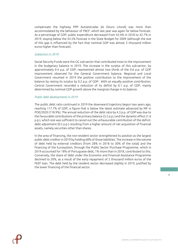compensate the highway PPP Autoestradas do Douro Litoral) was more than accommodated by the behaviour of FBCF, which last year was again far below forecast. As a percentage of GDP, public expenditure decreased from 43.4% in 2018 to 42.7% in 2019, staying below the 43.5% forecast in the State Budget for 2009 (although the size of this gap is influenced by the fact that nominal GDP was almost 3 thousand million euros higher than forecast).

#### *Subsectors in 2019*

Social Security Funds were the GG sub-sector that contributed most to the improvement in the budgetary balance in 2019. The increase in the surplus of this sub-sector, by approximately 0.4 p.p. of GDP, represented almost two thirds of the 0.6 p.p. of GDP improvement observed for the General Government balance. Regional and Local Government resumed in 2019 the positive contribution to the improvement of the balance by raising its surplus by 0.2 p.p. of GDP. With an equally positive contribution, Central Government recorded a reduction of its deficit by 0.1 p.p. of GDP, mainly determined by nominal GDP growth above the marginal change in its balance.

# *Public debt developments in 2019*

The public debt ratio continued in 2019 the downward trajectory begun two years ago, reaching 117.7% of GDP, a figure that is below the latest estimate advanced by MF in POE/2020 (118.9%). The annual reduction of the debt ratio by 4.3 p.p. of GDP was due to the favourable contributions of the primary balance (3.2 p.p.) and the dynamic effect (1.6 p.p.), which size was sufficient to cancel out the unfavourable contribution of the deficitdebt adjustment (0.5 p.p.) resulting from a higher amount of net acquisition of financial assets, namely securities other than shares.

In the area of financing, the non-resident sector strengthened its position as the largest public debt creditor in 2019 by holding 68% of those liabilities. The increase in the volume of debt held by external creditors (from 28% in 2018 to 30% of the total) and the financing of the Eurosystem, through the Public Sector Purchase Programme, which in 2019 accounted for 18% of Portuguese debt, 1% more than in 2018, contributed to this. Conversely, the share of debt under the Economic and Financial Assistance Programme declined to 20%, as a result of the early repayment of 2 thousand million euros of the FEEF loan. The debt held by the resident sector decreased slightly in 2019, justified by the lower financing of the financial sector.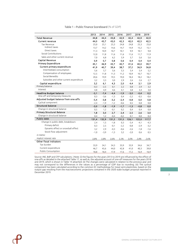<span id="page-6-0"></span>

|                                         | 2013   | 2014   | 2015   | 2016   | 2017   | 2018   | 2019   |
|-----------------------------------------|--------|--------|--------|--------|--------|--------|--------|
| <b>Total Revenue</b>                    | 44.8   | 44,4   | 43.8   | 42,9   | 42,4   | 42,9   | 42,9   |
| Current revenue                         | 44.0   | 43,7   | 43,0   | 42,3   | 42.0   | 42,5   | 42,5   |
| Tax Revenue                             | 25,0   | 25,1   | 25,3   | 24,8   | 24,8   | 25,3   | 25,0   |
| Indirect taxes                          | 13,7   | 14,2   | 14,6   | 14,7   | 14,9   | 15,2   | 15,1   |
| Direct taxes                            | 11,3   | 10,9   | 10,7   | 10,1   | 9,9    | 10,1   | 9,8    |
| Social Contributions                    | 12,0   | 11,8   | 11,6   | 11,6   | 11,6   | 11,7   | 11,9   |
| Sales and other current revenue         | 7,0    | 6,8    | 6,2    | 5,9    | 5,7    | 5,6    | 5,6    |
| Capital Revenue                         | 0,9    | 0,7    | 0,8    | 0,6    | 0,4    | 0,4    | 0,4    |
| <b>Primary Expenditure</b>              | 45,1   | 46,9   | 43,7   | 40,7   | 41,6   | 40,0   | 39,7   |
| Current primary expenditure             | 41,9   | 40,7   | 39,4   | 38,7   | 37,2   | 36,9   | 36,8   |
| Intermediate consumption                | 5,6    | 5,7    | 5,6    | 5,5    | 5,4    | 5,4    | 5,2    |
| Compensation of employees               | 12,5   | 11,8   | 11,3   | 11,2   | 10,9   | 10,7   | 10,7   |
| Social Benedits                         | 20,6   | 19,9   | 19,5   | 19,0   | 18,4   | 18,2   | 18,2   |
| Subsidies and other current expenditure | 3,2    | 3,3    | 3,0    | 2,9    | 2,6    | 2,6    | 2,7    |
| Capital expenditure                     | 3,2    | 6,1    | 4,3    | 2,0    | 4,4    | 3,1    | 2,9    |
| Primary balance                         | $-0,3$ | $-2,5$ | 0,1    | 2,2    | 0,8    | 2,9    | 3,2    |
| Interest                                | 4,8    | 4,9    | 4,6    | 4,1    | 3,8    | 3,4    | 3,0    |
| <b>Headline Budget balance</b>          | $-5,1$ | $-7,4$ | $-4,4$ | $-1,9$ | $-3,0$ | $-0,4$ | 0,2    |
| One-off and temporary measures          | 0,3    | $-3,6$ | $-1,3$ | 0,4    | $-2,2$ | $-0,5$ | $-0,6$ |
| Adjusted budget balance from one-offs   | $-5.4$ | $-3,8$ | $-3,2$ | $-2,4$ | $-0,8$ | 0,0    | 0,8    |
| Cyclical component                      | $-2,4$ | $-1,9$ | $-1,2$ | $-0,6$ | 0, 5   | 0,8    | 0,8    |
| Structural balance                      | $-3,0$ | $-1,8$ | $-1,9$ | $-1,7$ | $-1,3$ | $-0,8$ | 0,0    |
| Change in structural balance            | 0, 5   | 1,2    | $-0,1$ | 0,2    | 0,4    | 0,4    | 0,8    |
| Primary Structural Balance              | 1,8    | 3,0    | 2,7    | 2,4    | 2,5    | 2,6    | 3,0    |
| Change in structural balance            | 0,4    | 1,2    | $-0,4$ | $-0,2$ | 0,1    | 0,0    | 0,4    |
| Public debt                             | 131,4  | 132,9  | 131,2  | 131,5  | 126,1  | 122,0  | 117,7  |
| Change in public debt, breakdown:       | 2,4    | 1,5    | $-1,8$ | 0,3    | $-5,4$ | $-4,1$ | $-4,3$ |
| Primary deficit                         | 0,3    | 2,5    | $-0,1$ | $-2,2$ | $-0,8$ | $-2,9$ | $-3,2$ |
| Dynamic effect or snowball effect       | 3,2    | 2,9    | $-0,3$ | $-0,6$ | $-2,6$ | $-1,8$ | $-1,6$ |
| Stock-flow adjustment                   | $-1,0$ | $-3,9$ | $-1,3$ | 3,2    | $-2,0$ | 0,6    | 0, 5   |
| in memo:                                |        |        |        |        |        |        |        |
| Implicit interest rate                  | 3,8%   | 3,8%   | 3,6%   | 3,3%   | 3,0%   | 2,8%   | 2,6%   |
| Other fiscal indicators                 |        |        |        |        |        |        |        |
| Tax burden                              | 33,9   | 34,1   | 34,3   | 33,9   | 33,9   | 34,6   | 34,7   |
| Current expenditure                     | 46,7   | 45,6   | 44,0   | 42,8   | 41,0   | 40,3   | 39,8   |
| Public Consumption                      | 18,8   | 18,4   | 17,9   | 17,6   | 17,2   | 16,9   | 16,9   |
|                                         |        |        |        |        |        |        |        |

#### Table 1 – Public Finance Scoreboard (% of GDP)

Source: INE, BdP and CFP calculations. | Note: (i) the figures for the years 2013 to 2019 are influenced by the effect of one-offs as detailed in the attached Table 17, as well as, the adjusted account of one-off measures for the years 2018 and 2019, which is shown in Table 14 attached; (ii) The changes were calculated in relation to the previous year and may not correspond to the differences in the values as a percentage of GDP due to rounding; (iii) The cyclical component has been calculated according to the common EC methodology for (new) semi-elasticities, based on the output gap resulting from the macroeconomic projections contained in the 2020 state budget proposal reported in December 2019.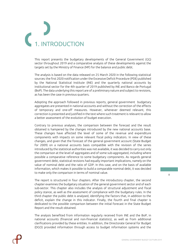

<span id="page-7-0"></span>This report presents the budgetary developments of the General Government (GG) sector throughout 2019 and a comparative analysis of these developments against the targets set by the Ministry of Finance (MF) for the balance and public debt.

The analysis is based on the data released on 25 March 2020 in the following statistical sources: the first 2020 notification under the Excessive Deficit Procedure (PDE) published by the National Statistical Institute (INE) and the quarterly national accounts by institutional sector for the 4th quarter of 2019 published by INE and Banco de Portugal (BoP). The data underlying this report are of a preliminary nature and subject to revisions, as has been the case in previous quarters.

Adopting the approach followed in previous reports, general government budgetary aggregates are presented in national accounts and without the correction of the effects of temporary and one-off measures. However, whenever deemed relevant, this correction is presented and justified in the text where such treatment is relevant to allow a better assessment of the evolution of budget execution.

Contrary to previous analyses, the comparison between the forecast and the result obtained is hampered by the changes introduced by the new national accounts base. These changes have affected the level of some of the revenue and expenditure components with impacts on some relevant fiscal policy indicators. In view of these changes, and given that the forecast of the general government account (State Budget for 2009) on a national accounts basis compatible with the revision of the series introduced by the statistical authorities was not available, it was decided to carry out only the comparison at the level of aggregates and of some sub-aggregated, including where possible a comparative reference to some budgetary components. As regards general government debt, statistical revisions had equally important implications, namely on the value of nominal debt and the ratio of GDP. In this case, and on the basis of available information, which makes it possible to build a comparable nominal debt, it was decided to make only the comparison in terms of nominal value.

The report is structured in four chapters. After the introductory chapter, the second chapter examines the budgetary situation of the general government sector and of each sub-sector. This chapter also includes the analysis of structural adjustment and fiscal policy stance, as well as the assessment of compliance with the budgetary rules. In the third chapter the public debt is analysed, identifying the factors that, in addition to the deficit, explain the change in this indicator. Finally, the fourth and final chapter is dedicated to the possible comparison between the initial forecast in the State Budget Report and the result obtained.

The analysis benefited from information regularly received from INE and the BoP, in national accounts (financial and non-financial statistics), as well as from additional clarifications provided by these entities. In addition, the Directorate General for Budget (DGO) provided information through access to budget information systems and the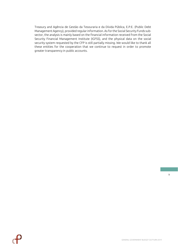Treasury and Agência de Gestão da Tesouraria e da Dívida Pública, E.P.E. (Public Debt Management Agency), provided regular information. As for the Social Security Funds subsector, the analysis is mainly based on the financial information received from the Social Security Financial Management Institute (IGFSS), and the physical data on the social security system requested by the CFP is still partially missing. We would like to thank all these entities for the cooperation that we continue to request in order to promote greater transparency in public accounts.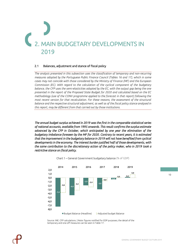# <span id="page-9-0"></span>IN BUDGETARY DEVELOPMENTS IN 2019

# <span id="page-9-1"></span>2.1 Balances, adjustment and stance of fiscal policy

*The analysis presented in this subsection uses the classification of temporary and non-recurring measures adopted by the Portuguese Public Finance Council (Tables 16 and 17), which in some cases may not coincide with those considered by the Ministry of Finance (MF) and the European Commission (EC). With regard to the calculation of the cyclical component of the budgetary balance, the CFP uses the semi-elasticities adopted by the EC, with the output gap being the one presented in the report of the Proposed State Budget for 2020 and calculated based on the EC methodology (use of the CONV programme applied to the forecast in that report) following the most recent version for that recalculation. For these reasons, the assessment of the structural balance and the respective structural adjustment, as well as of the fiscal policy stance analysed in this report, may be different from that carried out by those institutions.*

*The annual budget surplus achieved in 2019 was the first in the comparable statistical series of national accounts, available from 1995 onwards. This result confirms the surplus estimate advanced by the CFP in October, which anticipated by one year the elimination of the budgetary imbalance foreseen by the MF for 2020. Contrary to recent years, it is estimated that the improvement in the budgetary balance in 2019 will not have benefited from cyclical developments in the economy. The interest burden justified half of those developments, with the same contribution to the discretionary action of the policy maker, who in 2019 took a restrictive stance on fiscal policy.* 

<span id="page-9-2"></span>



Source: INE. CFP calculations. | Note: figures notified for EDP purposes; the detail of the temporary and one-off measures can be seen in Table 17.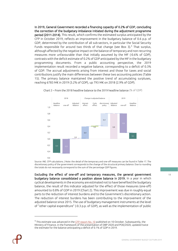In 2019, General Government recorded a financing capacity of 0.2% of GDP, concluding the correction of the budgetary imbalance initiated during the adjustment programme period (2011-2014). This result, which confirms the estimated surplus anticipated by the CFP in October 2019, reflects an improvement in the budgetary balance of 0.6 p.p. of GDP, determined by the contribution of all sub-sectors, in particular the Social Security Funds responsible for around two thirds of that change (see Box 3).<sup>1</sup> That surplus, although affected by the negative impact on the balance of temporary and non-recurring measures more unfavourable than that initially assumed by the MF (-0.6% of GDP), contrasts with the deficit estimate of 0.2% of GDP anticipated by the MF in the budgetary programming documents. From a public accounting perspective, the 2019 implementation result recorded a negative balance, corresponding to a deficit of 0.3% of GDP. The accrual adjustments arising from interest and those for taxes and social contributions justify the main differences between these two accounting policies (Table 15). The primary balance maintained the positive trend of accumulating surpluses, reaching 6783 M€ in 2019 (3.2% of GDP), up 793 M€ on 2018 (2.9% of GDP).



<span id="page-10-0"></span>Chart 2 – From the 2018 headline balance to the 2019 headline balance (% of GDP)

Source: INE. CFP calculations. | Note: the detail of the temporary and one-off measures can be found in Table 17. The discretionary policy of the government corresponds to the change of the structural primary balance. Due to rounding the totals do not necessarily correspond to the sum of the percentage GDP figures.

Excluding the effect of one-off and temporary measures*,* the general government budgetary balance consolidated a position above balance in 2019. In a year in which cyclical developments in the economy are estimated not to have benefited the budgetary balance, the result of this indicator adjusted for the effect of those measures (one-off) amounted to 0.8% of GDP in 2019 (Chart 2). This improvement was due in roughly equal parts to the reduction of interest burdens and to the Government's discretionary action. The reduction of interest burdens has been contributing to the improvement of the adjusted balance since 2015. The use of budgetary management instruments at the level of "other capital expenditure" (-0.3 p.p. of GDP), as well as the implementation of public

<sup>&</sup>lt;sup>1</sup> This estimate was advanced in the [CFP report No. 10](https://www.cfp.pt/uploads/publicacoes_ficheiros/cfp-rel-10-2019-pt.pdf) published on 10 October. Subsequently, the Ministry of Finance, in the framework of the presentation of DBP 2020 and POE/2020, updated twice the estimate for the balance anticipating a deficit of 0.1% of GDP in 2019.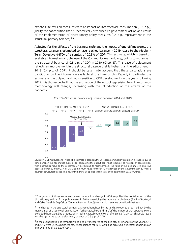expenditure revision measures with an impact on intermediate consumption (-0.1 p.p.), justify the contribution that is theoretically attributed to government action as a result of the implementation of discretionary policy measures (0.4 p.p. improvement in the structural primary balance).<sup>2,3</sup>

Adjusted for the effects of the business cycle and the impact of one-off measures, the structural balance is estimated to have reached balance in 2019, close to the Medium-Term Objective (MTO) of a surplus of 0.25% of GDP. This estimate, which is based on available information and the use of the Community methodology, points to a change in the structural balance of 0.8 p.p. of GDP in 2019 (Chart 3)<sup>4</sup>. This pace of adjustment reflects an improvement in the structural balance that is higher than the adjustment in 2018 (0.4 p.p. of GDP). It should be taken into account that these calculations are conditional on the information available at the time of this Report, in particular the estimate of the output gap that is sensitive to GDP developments in the years following 2019. It is thus expected that the estimation of the output gap arising from the common methodology will change, increasing with the introduction of the effects of the pandemic.

<span id="page-11-0"></span>

#### Chart 3 – Structural balance: adjustment between 2014 and 2019

Source: INE. CFP calculations. | Note: This estimate is based on the European Commission's common methodology and conditional on the information available for calculating the output gap, which is subject to revisions by construction, with a particular focus on the contemporary period and its neighborhood. The value of the medium-term objective applicable until 2019 is 0.25% of GDP. he minimum value for the MTO was revised by the Government in 2019 for a balanced structural balance. This new minimum value applies to forecasts and outturn from 2020 onwards.

<sup>&</sup>lt;sup>2</sup> The growth of those expenses below the nominal change in GDP amplified the contribution of the discretionary action of the policy maker in 2019, overriding the increase in dividends (Bank of Portugal and Caixa Geral de Depósitos [General Pension Fund]) from which revenue benefited that year.

<sup>&</sup>lt;sup>3</sup> The change in the structural primary balance is benefited by the land sale operation carried out by the municipality of Lisbon with an impact on "other capital expenditure". If the impact of that operation were excluded there would be a reduction in "other capital expenditure" of 0.2 p.p. of GDP, which would result in a change in the structural primary balance of 0.3 p.p. of GDP.

<sup>4</sup> If the quantification of temporary and one-off measures of the Ministry of Finance for the years 2018 and 2019 were used, a balanced structural balance for 2019 would be achieved, but corresponding to an improvement of 0.6 p.p. of GDP.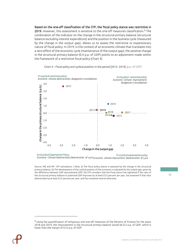Based on the one-off classification of the CFP, the fiscal policy stance was restrictive in 2019. However, this assessment is sensitive to the one-off measures classification.<sup>5</sup> The combination of the indicator on the change in the structural primary balance (structural balance excluding interest expenditure) and the position in the business cycle (measured by the change in the output gap), allows us to assess the restrictive or expansionary nature of fiscal policy. In 2019, in the context of an economic climate that translates into a zero effect of the economic cycle (maintenance of the output gap), the positive change in the structural primary balance (0.4 p.p. of GDP) points to an adjustment made within the framework of a restrictive fiscal policy (Chart 4).



#### <span id="page-12-0"></span>Chart 4 – Fiscal policy and cyclical position in the period [2012- 2019] (p.p. of GDP)

*Procyclical expansionist policy: Economic climate improvment; Deterioration of s.p.b. Economic Climate Deterioration;Deterioration of s.p.b.Anticyclical Expansionist Policy:*

Source: INE and MF. CFP calculations. | Note: (i) The fiscal policy stance is assessed by the change in the structural primary balance; (ii) The development of the cyclical position of the economy is evaluated by the output gap, given by the difference between GDP and potential GDP; (iii) CFP considers that the fiscal stance has tightened if the ratio of the structural primary balance to potential GDP improves by at least 0.25 percent per year, has loosened if that ratio deteriorates by at least 0.25 percent per year, and has remained neutral otherwise.

<sup>5</sup> Using the quantification of temporary and one-off measures of the Ministry of Finance for the years 2018 and 2019, the improvement in the structural primary balance would be 0.2 p.p. of GDP, which is lower than the margin of 0.25 p.p. of GDP.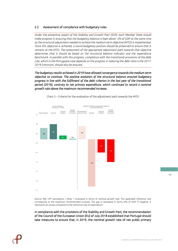# <span id="page-13-0"></span>2.2 Assessment of compliance with budgetary rules

*Under the preventive aspect of the Stability and Growth Pact (SGP), each Member State should make progress in ensuring that the budgetary balance is kept above -3% of GDP at the same time as the structural adjustment needed to achieve the medium-term objective (MTO) is implemented. Once this objective is achieved, a sound budgetary position should be preserved to ensure that it remains at the MTO. The assessment of the appropriate adjustment path towards that objective determines that it should be based on the structural balance indicator and the expenditure benchmark. In parallel with this progress, compliance with the transitional provisions of the debt rule, which in the Portuguese case depends on the progress in reducing the debt ratio in the 2017- 2019 triennium, should also be ensured.*

*The budgetary results achieved in 2019 have allowed convergence towards the medium-term objective to continue. The positive evolution of the structural balance ensured budgetary progress in line with the fulfilment of the debt criterion in the last year of the transitional period (2019), contrary to net primary expenditure, which continued to record a nominal growth rate above the maximum recommended increase.* 

<span id="page-13-1"></span>

Chart 5 – Criteria for the evaluation of the adjustment path towards the MTO

Source: INE, CFP calculations. | Note: \* evaluated in terms of nominal growth rate. The applicable reference rate corresponds to the maximum recommended increase. The gap is calculated in terms of% of GDP. If negative, it represents an excess compared to the reference rate of expenditure.

In compliance with the provisions of the Stability and Growth Pact, the recommendation of the Council of the European Union (EU) of July 2018 established that Portugal should take measures to ensure that, in 2019, the nominal growth rate of net public primary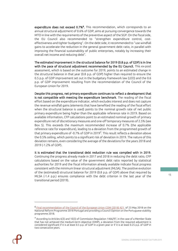expenditure does not exceed 0.7%<sup>6</sup>. This recommendation, which corresponds to an annual structural adjustment of 0.6% of GDP, aims at pursuing convergence towards the MTO in line with the requirements of the preventive aspect of the SGP. On the fiscal side, the EU Council also recommended to "strengthen expenditure control, costeffectiveness and tighter budgeting". On the debt side, it recommended to "use windfall gains to accelerate the reduction in the general government debt ratio, in parallel with improving the financial sustainability of public enterprises, notably by increasing their overall net income and reducing debt".

The estimated improvement in the structural balance for 2019 (0.8 p.p. of GDP) is in line with the pace of structural adjustment recommended by the EU Council. This ex-post assessment, which is based on the outcome for 2019, points to an estimated change in the structural balance in that year (0.8 p.p. of GDP) higher than required to ensure the 0.5 p.p. of GDP improvement set out in the budgetary framework law (LEO) and the 0.6 p.p. of GDP improvement resulting from the recommendation of the Council of the European Union for 2019.

Despite this progress, net primary expenditure continues to reflect a development that is not compatible with meeting the expenditurebenchmark. The reading of the fiscal effort based on the expenditure indicator, which excludes interest and does not capture the revenue windfall gains (elements that have benefited the reading of the fiscal effort when the structural balance is used) points to the nominal growth rate of net public primary expenditure being higher than the applicable reference rate in 2019. Based on available information, CFP calculations point to an estimated nominal growth of primary expenditure net of discretionary measures and one-off temporary measures of 2.5% (see Box 5). This exceeds the maximum recommended increase of 0.7% (the applicable reference rate for expenditure), leading to a deviation from the programmed growth of that primary expenditure of -0.7% of GDP in 2019<sup>7</sup> . This result reflects a deviation above the 0.5% ceiling, which points to a significant risk of deviation in 2019. The nature of this deviation remains, even considering the average of the deviations for the years 2018 and 2019 (-1.2% of GDP).

It is estimated that the transitional debt reduction rule was complied with in 2019. Continuing the progress already made in 2017 and 2018 in reducing the debt ratio, CFP calculations based on the value of the government debt ratio reported by statistical authorities for 2019 and the fiscal information already available indicate fiscal progress consistent with the minimum linear structural adjustment (MLSA). The positive evolution of the (estimated) structural balance for 2019 (0.8 p.p. of GDP) above that required by MLSA (-1.4 p.p.) ensures compliance with the debt criterion in the last year of the transitional period (2019).

<sup>&</sup>lt;sup>6</sup> [Final recommendation of the Council of the European Union COM \(2018\) 421 o](https://ec.europa.eu/info/sites/info/files/file_import/2018-european-semester-country-specific-recommendation-commission-recommendation-portugal-pt_0.pdf)f 23 May 2018 on the National Reform Programme 2018 Portugal and providing a Council Opinion on the Portuguese stability programme 2018.

 $^7$  According to Articles 6(3) and 10(3) of Commission Regulation 1466/97, in the case of a Member State that has not achieved the medium-term objective (OMP), a deviation from the required adjustment is considered significant if it is at least 0.5 p.p. of GDP in a given year or if it is at least 0.25 p.p. of GDP in two consecutive years.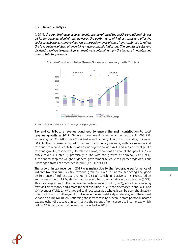## <span id="page-15-0"></span>2.3 Revenue analysis

*In 2019, the growth of general government revenue reflected the positive evolution of almost all its components, highlighting, however, the performance of indirect taxes and effective social contributions. As in previous years, the performance of these items continued to reflect the favourable evolution of underlying macroeconomic indicators. The growth of sales and dividends received by general government were determinant for the increase in non-tax and non-contributory revenue.* 



<span id="page-15-1"></span>

Tax and contributory revenue continued to ensure the main contribution to total revenue growth in 2019. General government revenue amounted to 91 008 M€, increasing by 3313 M€ from 2018 (Chart 6 and Table 3). This growth was due, in almost 90%, to the increase recorded in tax and contributory revenue, with tax revenue and revenue from social contributions accounting for around 42% and 45% of total public revenue growth, respectively. In relative terms, there was an annual change of 3.8% in public revenue (Table 3), practically in line with the growth of nominal GDP (3.9%), sufficient to keep the weight of general government revenue as a percentage of output unchanged from that recorded in 2018 (42.9% of GDP).

The growth in tax revenue in 2019 was mainly due to the favourable performance of indirect tax revenue. GG tax revenue grew by 1377 M€ (2.7%) reflecting the good performance of indirect tax revenue (1193 M€), which, in relative terms, registered an annual variation of 3.9%, above that observed for nominal private consumption (3.3%). This was largely due to the favourable performance of VAT (5.4%), since the remaining taxes in this category had a more modest evolution, due to the decreases in annual IT and ISV revenues (Table 2). With regard to direct taxes as a whole, it can be seen that in 2019 their contribution to the growth of tax revenue was relatively moderate, with the annual variation of 184 M€ (0.9%) reflecting the increases in net revenue from personal income tax and other direct taxes, in contrast to the revenue from corporate income tax, which fell by 2.1% compared to the amount collected in 2018.

Source: INE. CFP calculations.| YoY means year-on-year growth.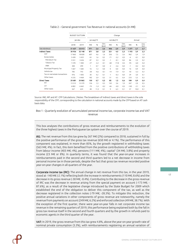<span id="page-16-0"></span>

|                                 |        | <b>BUDGET OUTTURN</b> |              |                          |                |          | Change  |                |        |        |                |
|---------------------------------|--------|-----------------------|--------------|--------------------------|----------------|----------|---------|----------------|--------|--------|----------------|
|                                 |        | jan-dec               |              | oct-dec/19<br>jan-sep/19 |                |          |         | Annual         |        |        |                |
|                                 | 2018   | 2019                  | M€           | %                        | Ctrc<br>(p.p.) | M€       | %       | Ctrc<br>(p.p.) | M€     | %      | Ctrc<br>(p.p.) |
| <b>TAX REVENUE</b>              | 51 637 | 53 013                | 971          | 2,6                      | 2,6            | 406      | 2,9     | 2,9            | 1377   | 2,7    | 2,7            |
| <b>Indirect Taxes</b>           | 30956  | 32 148                | 871          | 3,8                      | 2,3            | 321      | 4,0     | 2,3            | 1193   | 3,9    | 2,3            |
| VAT                             | 17865  | 18828                 | 607          | 4,6                      | 1.6            | 356      | 7,5     | 2,6            | 962    | 5,4    | 1,9            |
| <b>Excise duties</b>            | 5428   | 5422                  | 65           | 1,6                      | 0.2            | $-71$    | $-5,2$  | $-0.5$         | $-6$   | $-0,1$ | 0,0            |
| Petroleum Tax                   | 3551   | 3636                  | 87           | 3,3                      | 0.2            | $-1$     | $-0,1$  | 0.0            | 86     | 2,4    | 0,2            |
| Tobacco Tax                     | 1578   | 1483                  | $-27$        | $-2,2$                   | $-0.1$         | $-68$    | $-17,8$ | $-0,5$         | $-95$  | $-6,0$ | $-0,2$         |
| <b>IABA</b>                     | 300    | 299                   | $\mathbf{1}$ | 0,7                      | 0.0            | $-2$     | $-2,6$  | 0.0            | $-1$   | $-0,2$ | 0,0            |
| Municipal Property Tax          | 1667   | 1682                  | 16           | 1,3                      | 0.0            | $\Omega$ | 0,0     | 0.0            | 16     | 0,9    | 0,0            |
| Vehicle tax                     | 785    | 743                   | $-28$        | $-4,6$                   | $-0,1$         | $-14$    | $-7,9$  | $-0,1$         | $-42$  | $-5,3$ | $-0,1$         |
| Tax on real estate transactions | 976    | 1005                  | 30           | 4,2                      | 0.1            | $-1$     | $-0,3$  | 0.0            | 29     | 3,0    | 0,1            |
| Other taxes                     | 4235   | 4469                  | 182          | 5,9                      | 0.5            | 51       | 4,5     | 0.4            | 233    | 5,5    | 0,5            |
| <b>Direct Taxes</b>             | 20 681 | 20865                 | 100          | 0,7                      | 0,3            | 85       | 1,5     | 0,6            | 184    | 0,9    | 0,4            |
| PIT                             | 13312  | 13 5 7 9              | 126          | 1,3                      | 0,3            | 142      | 3,6     | 1.0            | 267    | 2,0    | 0,5            |
| CIT                             | 6802   | 6662                  | $-74$        | $-1,4$                   | $-0.2$         | $-66$    | $-4,0$  | $-0,5$         | $-140$ | $-2,1$ | $-0,3$         |
| Other taxes                     | 567    | 624                   | 48           | 11,3                     | 0.1            | 9        | 6,3     | 0,1            | 57     | 10.0   | 0,1            |

#### Table 2 – General government Tax Revenue in national accounts (in M€)

Source: INE, MF and AT. CFP Calculations. | Notes: The breakdown of indirect taxes and direct taxes is the sole responsibility of the CFP, corresponding to the calculation in national accounts made by the CFP based on AT cash basis data.

#### <span id="page-16-1"></span>Box 1 - Quarterly evolution of accumulated personal income tax, corporate income tax and VAT revenue

This box analyses the contributions of gross revenue and reimbursements to the evolution of the three highest taxes in the Portuguese tax system over the course of 2019.

IRS: The net revenue from this tax grew by 267 M€ (2%) compared to 2018, sustained in full by the positive performance of the gross tax revenue (650 M $\epsilon$  or 4.1%). The performance of this component was explained, in more than 85%, by the growth registered in withholding taxes (563 M€; 4%). In fact, this item benefited from the positive contributions of withholding taxes from labour income (403 M€; 4%), pensions (111 M€; 4%), capital<sup>1</sup> (34 M€; 3.8%) and property income (23 M€ or 8%). In quarterly terms, it was found that the year-on-year increases in reimbursements paid in the second and third quarters led to a net decrease in income from personal income tax in those periods, despite the fact that gross tax revenue recorded positive year-on-year changes in all quarters of the year.

Corporate income tax (IRC): The annual change in net revenue from this tax, in the year 2019, stood at -140 M€ (-2.1%) reflecting both the increase in reimbursements (110 M€; 8.6%) and the decrease in its gross revenue (-30 M€; -0.4%). Contributing to the decrease in the gross revenue of IRC was the decrease in revenue arising from the special payment on account (-173 M€; - 87.6%), as a result of the legislative change introduced by the State Budget for 2009 which established the end of the obligation to deliver this component of the tax, as well as the decrease registered in the collection notes (-79 M€; -28.3%). To mitigate this reduction, the positive annual variations in other components of gross revenue are noteworthy, namely the revenue from payments on account (249 M€; 6.2%) and enforced collection (49 M€; 38.7%). With the exception of the first quarter, there were year-on-year falls in net corporate income tax revenue in the remaining quarters of 2019, this performance being explained both by the fall in gross tax revenue itself in the second and fourth quarters and by the growth in refunds paid to economic agents in the third quarter of the year.

VAT: In 2019, the gross revenue from this tax grew 4.8%, above the year-on-year growth rate of nominal private consumption (3.3%), with reimbursements registering an annual variation of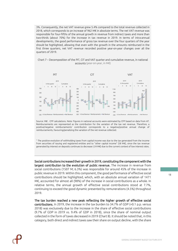3%. Consequently, the net VAT revenue grew 5.4% compared to the total revenue collected in 2018, which corresponds to an increase of 962 M€ in absolute terms. The net VAT revenue was responsible for four-fifths of the annual growth in revenue from indirect taxes and more than two-thirds (about 70%) for the increase in tax revenue in 2019. In terms of intra-annual developments, the good performance of gross tax revenue over the four quarters of the year should be highlighted, allowing that even with the growth in the amounts reimbursed in the first three quarters, net VAT revenue recorded positive year-on-year changes over all the quarters of 2019.



<span id="page-17-0"></span>

Source: INE . CFP calculations. Note: Figures in national accounts were estimated by CFP based on data from AT. Reimbursements are represented as the contribution for the variation of the tax net revenue. Therefore, a positive/negative reimbursements' contribution corresponds to a negative/positive annual change of reimbursements, favouring/penalizing the variation of the net revenue collected.

<sup>1</sup> The positive evolution of withholding taxes from capital income was due to the tax generated from the income from securities of issuing and registered entities and to "other capital income" (58 M€), since the tax revenue generated by interest on deposits continues to decrease (-24 M€) due to the current context of low interest rates.

Social contributions increased their growth in 2019, constituting the component with the largest contribution to the evolution of public revenue. The increase in revenue from social contributions (1507 M; 6.3%) was responsible for around 45% of the increase in public revenue in 2019. Within this component, the good performance of effective social contributions should be highlighted, which, with an absolute annual variation of 1471 M€, accounted for almost all (98%) of the increase in social contributions as a whole. In relative terms, the annual growth of effective social contributions stood at 7.7%, continuing to exceed the good dynamic presented by remunerations (4.5%) throughout 2019.

The tax burden reached a new peak reflecting the higher growth of effective social contributions. In 2019, the increase in the tax burden to 34.7% of GDP (+0.1 p.p. versus 2018) was exclusively due to the increase in the share of effective social contributions (9.7% of GDP in 2019 vs. 9.4% of GDP in 2018), since the share of nominal output collected in the form of taxes decreased in 2019 (Chart 8). It should be noted that, in this category, both direct and indirect taxes saw their share on output decline, with the share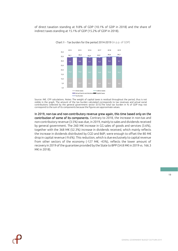<span id="page-18-0"></span>of direct taxation standing at 9.8% of GDP (10.1% of GDP in 2018) and the share of indirect taxes standing at 15.1% of GDP (15.2% of GDP in 2018).



Chart 8 – Tax burden for the period 2014-2019 (in p.p. of GDP)

Source: INE. CFP calculations. Notes: The weight of capital taxes is residual throughout the period, thus is not visible in the graph. The amount of the tax burden calculated corresponds to tax revenues and actual social contributions collected by the general government sector (S13).The total tax burden in % of GDP may not correspond to the sum of its components because the figures are approximate values.

In 2019, non-tax and non-contributory revenue grew again, this time based only on the contribution of some of its components. Contrary to 2018, the increase in non-tax and non-contributory revenue (3.5%) was due, in 2019, mainly to sales and dividends received by general government. The 260 M€ increase in GG sales of goods and services (3.6%), together with the 368 M€ (52.3%) increase in dividends received, which mainly reflects the increase in dividends distributed by CGD and BdP, were enough to offset the 80 M€ drop in capital revenue (-9.6%). This reduction, which is due exclusively to capital revenue from other sectors of the economy (-127 M€; -43%), reflects the lower amount of recovery in 2019 of the guarantee provided by the State to BPP (54.8 M€ in 2019 vs. 166.3 M€ in 2018).

19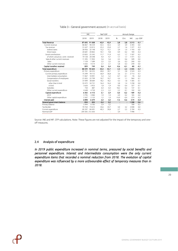<span id="page-19-1"></span>

|                                       | M€              |          | %of GDP |      |                |        | Annual change |          |
|---------------------------------------|-----------------|----------|---------|------|----------------|--------|---------------|----------|
|                                       | 2018            | 2019     | 2018    | 2019 | %              | Ctrc   | M€            | p.p. GDP |
| <b>Total Revenue</b>                  | 87 695          | 91 008   | 42.9    | 42.9 | 3.8            | 3,8    | 3313          | $-0.1$   |
| Current revenue                       | 86867           | 90 25 9  | 42,5    | 42,5 | 3,9            | 3,9    | 3 3 9 3       | 0,0      |
| Tax revenue                           | 51 637          | 53 013   | 25,3    | 25,0 | 2,7            | 1,6    | 1 3 7 7       | $-0,3$   |
| Indirect taxes                        | 30 956          | 32 148   | 15,2    | 15,1 | 3,9            | 1,4    | 1 1 9 3       | 0,0      |
| Direct taxes                          | 20 681          | 20865    | 10,1    | 9.8  | 0.9            | 0,2    | 184           | $-0,3$   |
| Social contributions                  | 23 8 35         | 25 3 4 2 | 11,7    | 11,9 | 6,3            | 1,7    | 1507          | 0,3      |
| of which: actual soc. contr. received | 19 128          | 20 5 98  | 9,4     | 9,7  | 7,7            | 1,7    | 1471          | 0,3      |
| Sales & other current revenues        | 11 3 9 5        | 11903    | 5,6     | 5,6  | 4,5            | 0,6    | 509           | 0,0      |
| Sales                                 | 7 1 2 9         | 7389     | 3,5     | 3,5  | 3,6            | 0,3    | 260           | 0,0      |
| Other current revenues                | 4 2 6 5         | 4514     | 2.1     | 2,1  | 5.8            | 0.3    | 249           | 0,0      |
| Capital transfers received            | 829             | 749      | 0.4     | 0.4  | $-9,6$         | $-0,1$ | -80           | $-0,1$   |
| Total expenditure                     | 88 599          | 90 604   | 43.4    | 42.7 | 2.3            | 2,3    | 2005          | $-0.7$   |
| Primary expenditure                   | 81701           | 84 2 2 5 | 40.0    | 39.7 | 3.1            | 2,8    | 2 5 2 4       | $-0,3$   |
| Current primary expenditure           | 75 3 9 9        | 78 112   | 36,9    | 36,8 | 3,6            | 3,1    | 2 7 1 3       | $-0,1$   |
| Intermediate consumption              | 11 0 67         | 10 9 9 1 | 5,4     | 5,2  | $-0.7$         | $-0,1$ | $-76$         | $-0,2$   |
| Compensation of employees             | 21835           | 22799    | 10,7    | 10.7 | 4.4            | 1,1    | 964           | 0.1      |
| Social transfers                      | 37 099          | 38 684   | 18,2    | 18,2 | 4,3            | 1,8    | 1585          | 0,1      |
| other than in kind                    | 33 4 72         | 34731    | 16,4    | 16,4 | 3.8            | 1,4    | 1258          | 0,0      |
| in kind                               | 3626            | 3953     | 1,8     | 1,9  | 9.0            | 0,4    | 327           | 0,1      |
| Subsidies                             | 750             | 887      | 0,4     | 0,4  | 18.2           | 0.2    | 137           | 0.1      |
| Other current expenditure             | 4648            | 4750     | 2,3     | 2,2  | 2.2            | 0.1    | 102           | 0,0      |
| Capital expenditure                   | 6302            | 6113     | 3,1     | 2,9  | $-3,0$         | $-0.2$ | $-189$        | $-0.2$   |
| GECE                                  | 3795            | 3980     | 1,9     | 1,9  | 4,9            | 0,2    | 185           | 0,0      |
| Other capital expenditure             | 2 5 0 7         | 2 1 3 3  | 1,2     | 1,0  | $-14,9$        | $-0.4$ | $-374$        | $-0,2$   |
| Interest paid                         | 6898            | 6379     | 3,4     | 3,0  | $-7,5$         | $-0,6$ | $-519$        | $-0.4$   |
| General government balance            | $-904$          | 404      | $-0.4$  | 0,2  | $\ddot{\cdot}$ | ÷      | 1 3 0 8       | 0.6      |
| Primary balance                       | 5994            | 6783     | 2,9     | 3,2  | ċ              | ÷      | 789           | 0,3      |
| Tax Burden                            | 70764           | 73612    | 34,6    | 34,7 | 4,0            | 3,2    | 2848          | 0,0      |
| Current expenditure                   | 82 297          | 84 491   | 40,3    | 39,8 | 2,7            | 2.5    | 2 1 9 4       | $-0,5$   |
| Nominal GDP                           | 204 305 212 303 |          |         |      | 3,9            |        | 7998          |          |

#### Table 3 – General government account (in accrual basis)

Source: INE and MF. CFP calculations. Note: These figures are not adjusted for the impact of the temporary and one– off measures.

# <span id="page-19-0"></span>2.4 Analysis of expenditure

*In 2019 public expenditure increased in nominal terms, pressured by social benefits and personnel expenditure. Interest and intermediate consumption were the only current expenditure items that recorded a nominal reduction from 2018. The evolution of capital expenditure was influenced by a more unfavourable effect of temporary measures than in 2018.* 

20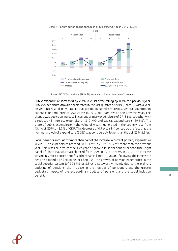

<span id="page-20-0"></span>

Source: INE. CFP calculations. | Note: figures are not adjusted from one-off measures.

Public expenditure increased by 2.3% in 2019 after falling by 0.3% the previous year. Public expenditure growth decelerated in the last quarter of 2019 (Chart 9), with a yearon-year increase of only 0.8% in that period. In cumulative terms, general government expenditure amounted to 90,604 M€ in 2019, up 2005 M€ on the previous year. This change was due to an increase in current primary expenditure of 2713 M€, together with a reduction in interest expenditure (-519 M€) and capital expenditure (-189 M€). The share of public expenditure in the value of wealth generated in the country rose from 43.4% of GDP to 42.7% of GDP. This decrease of 0.7 p.p. is influenced by the fact that the nominal growth of expenditure (2.3%) was considerably lower than that of GDP (3.9%).

Social benefits account for more than half of the increase in current primary expenditure in 2019. This expenditure reached 38 684 M€ in 2019, 1585 M€ more than the previous year. This was the fifth consecutive year of growth in social benefit expenditure (right panel of Chart 10), which accelerated from 3.0% in 2018 to 4.3% in 2019. The increase was mainly due to social benefits other than in kind (+1258 M€), following the increase in pension expenditure (left panel of Chart 10). The growth of pension expenditure in the social security system (of 994 M€ or 5.8%) is noteworthy, mainly due to the ordinary updating of pensions, the increase in the number of pensioners and the greater budgetary impact of the extraordinary update of pensions and the social inclusion benefit.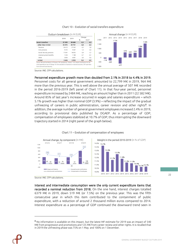<span id="page-21-0"></span>

#### Chart 10 – Evolution of social transfers expenditure

Source: INE. CFP calculations.

Personnel expenditure growth more than doubled from 2.1% in 2018 to 4.4% in 2019. Personnel costs for all general government amounted to 22,799 M€ in 2019, 964 M€ more than the previous year. This is well above the annual average of 507 M€ recorded in the period 2016-2019 (left panel of Chart 11). In that four-year period, personnel expenditure increased by 2484 M€, reaching an amount higher than in 2011 (22 582 M€). Around 85% of last year's increase occurred in wages and salaries expenditure – which 5.1% growth was higher than nominal GDP (3.9%) – reflecting the impact of the gradual unfreezing of careers in public administration, career revision and other rights<sup>8</sup>. In addition, the average number of general government employees increased 2.4% in 2019, according to provisional data published by DGAEP. As a percentage of GDP, compensation of employees stabilized at 10.7% of GDP, thus interrupting the downward trajectory started in 2014 (right panel of the graph below).

<span id="page-21-1"></span>

#### Chart 11 – Evolution of compensation of employees

Source: INE. CFP calculations.

Interest and intermediate consumption were the only current expenditure items that recorded a nominal reduction from 2018. On the one hand, interest charges totalled 6379 M€ in 2019, down 519 M€ (or 7.5%) on the previous year. This was the fifth consecutive year in which this item contributed to the containment of public expenditure, with a reduction of around 2 thousand million euros compared to 2014. Interest expenditure as a percentage of GDP continued the downward trend seen in

<sup>8</sup> No information is available on this impact, but the latest MF estimate for 2019 was an impact of 540 M€ from progression and promotions and 125 M€ from career review and other rights. It is recalled that in 2019 the unfreezing phase was 75% on 1 May and 100% on 1 December.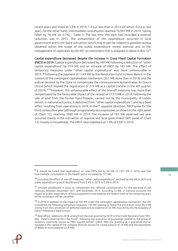recent years and stood at 3.0% in 2019, 1.9 p.p. less than in 2014 (of which -0.4 p.p. last year). On the other hand, intermediate consumption reached 10,991 M€ in 2019, having fallen by 76 M€ (or 0.7%) - Table 3. The last time this item had recorded a nominal reduction was in 2013. The containment of this expenditure occurred in local government and in the State sub-sector (which may in part be related to possible savings obtained within the scope of the public expenditure review exercise and to the management of captivates by the MF, an instrument that is analysed in detail in Box 2).<sup>9</sup>

Capital expenditure decreased despite the increase in Gross Fixed Capital Formation (FBCF) in 2019. Capital expenditure decreased by 189 M€ following a reduction of "other capital expenditure" by 374 M€ and an increase of FBCF by 185 M€. The effect of temporary measures under "other capital expenditure" was more unfavourable in 2019,<sup>10</sup> following the payment of 1149 M€ by the Resolution Fund to Novo Banco, in the context of the contingent capitalisation mechanism (357 M€ more than in 2018) and the judicial decision by the State to compensate the concessionaire Autoestradas do Douro Litoral (which implied the registration of 219 M€ as a capital transfer in the 4th quarter of 2019).<sup>1112</sup>However, this unfavourable effect of the one-off measures was more than compensated by the favourable impact of the receipt of 273.9 M€ in 2019, following the sale of land from the former Feira Popular, carried out by the municipality of Lisbon (which, in national accounts, is deducted from "other capital expenditure") and by a base effect resulting from operations in 2018. In the<sup>13</sup> opposite direction, FBCF grew for the third consecutive year (although progressively less expressive, as shown in the right panel of Chart 12), reaching 3980 M€ in 2019. The increase of 185 M€ observed last year occurred mainly in the sub-sector of regional and local government (left panel of Chart 12), mostly in households. The FBCF ratio stabilised at 1.9% of GDP in 2019.

<span id="page-22-0"></span><sup>&</sup>lt;sup>9</sup> It should be noted that expenditure on road PPPs fell by 28 M€ to 1337 M€ in 2019, and that intermediate consumption in the Health sector increased by 121 M€.

<sup>10</sup> Excluding the effect of one-off measures, "other capital expenditure" declined by 656 M€ in 2019 and public expenditure growth decelerated from 3.4% in 2018 to 2.0% in 2019.

<sup>&</sup>lt;sup>11</sup> Amount established in court to compensate the referred concessionaire for the decrease in toll revenues between December 2011 and November 2019. According to INE, in national accounts the impact on public expenditure of future payments to be made by the State in each of the remaining years of the concession will be cancelled.

<sup>12</sup> In 2018, in addition to the impact of 792 M€ under the contingent capitalisation mechanism, the CFP considered the following temporary measures: 130 M€ relating to forest fire prevention costs; 99.5 M€ arising from the conversion of deferred taxes and an expense of 65 M€ incurred by the Municipality of Lisbon following a legal process.

<sup>&</sup>lt;sup>13</sup> Base effect, relative to 2018, arising from the loan granted by DGTF to the Credit Recovery Fund "FRC-INQ - Papel Comercial ESI e Rio Forte", following the execution of guarantees related to the group of investors commonly known as "BES injured parties" (280.6 M€); the granting of a guarantee and an increase in the capital of the company SATA Air Açores for a total amount of 76 M€) and the assumption of debts of municipalities (23.8 M€).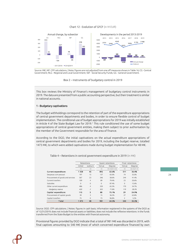#### Chart 12 - Evolution of GFCF (in M EUR)



<span id="page-23-1"></span>Source: INE, MF. CFP calculations. | Note: figures are not adjusted from one off measures shown in Table 16; CG - Central Government; RLG - Regional and Local Government; SSF - Social Security Funds; GG - General Government.



This box reviews the Ministry of Finance's management of budgetary control instruments in 2019. The data are presented from a public accounting perspective, but their treatment is similar in national accounts.

#### 1 - Budgetary captivations

The budget withholdings correspond to the retention of part of the expenditure appropriations of central government departments and bodies, in order to ensure flexible control of budget implementation. The conditional use of budget appropriations for 2019 was initially established in Article 4 of the State Budget Law for 2019.<sup>1</sup> This rule conditioned the use of some budget appropriations of central government entities, making them subject to prior authorisation by the member of the Government responsible for the area of finance.

According to the DGO, the initial captivations on the actual expenditure appropriations of central government departments and bodies for 2019, including the budget reserve, totalled 1473 M€, to which were added captivations made during budget implementation for 48 M€.

<span id="page-23-0"></span>

|                                   | Retentions |                |       | Spent retentions    |                          | Final retentions |
|-----------------------------------|------------|----------------|-------|---------------------|--------------------------|------------------|
|                                   | initial    | outturn        | Value | Degree              | Value                    | Degree           |
|                                   | (1)        | (2)            | (3)   | $(4)=(3)/[(1)+(2)]$ | (5)                      | $(6)=(5)/(1+2)$  |
| Current expenditure:              | 1358       | 45             | 892   | 63.6%               | 511                      | 36.4%            |
| Despesas com pessoal              | 197        | 15             | 137   | 65.0%               | 74                       | 35.0%            |
| Procurement of goods and services | 567        | 23             | 346   | 58.6%               | 244                      | 41.4%            |
| Current transfers                 | 109        | 4              | 89    | 79.4%               | 23                       | 20.6%            |
| Subsidies                         | $\Omega$   | $\mathbf 0$    | 0     | 87.4%               | 0                        | 12.6%            |
| Other current expenditure         | 486        | 4              | 320   | 65.3%               | 170                      | 34.7%            |
| - Budgetary reserve               | 420        | $\overline{c}$ | 303   | 71.8%               | 119                      | 28.2%            |
| Capital expenditure:              | 115        | 3              | 88    | 75.1%               | 29                       | 24.9%            |
| Procurement of capital goods      | 39         | 3              | 15    | 36.2%               | 27                       | 63.8%            |
| Capital transfers                 | 75         | $\Omega$       | 73    | 96.8%               | $\overline{\phantom{0}}$ | 3.2%             |
| Total                             | 1473       | 48             | 981   | 64.5%               | 540                      | 35.5%            |

Table 4 – Retentions in central government expenditure in 2019 (in M€)

Source: DGO. CFP calculations. | Notes: figures in cash basis; information registered in the systems of the DGO as of 12/31/2019; does not include financial assets or liabilities; does not include the reflexive retentions in the funds transferred from the State Budget to the entities with financial autonomy.

Provisional figures provided by DGO indicate that a total of 981 M€ was discarded in 2019, with final captives amounting to 540 M€ (most of which concerned expenditure financed by own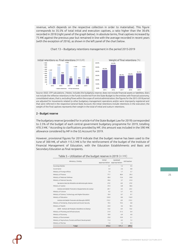revenue, which depends on the respective collection in order to materialise). This figure corresponds to 35.5% of total initial and execution captives, a ratio higher than the 30.6% recorded in 2018 (right panel of the graph below). In absolute terms, final captives increased by 75 M€ against the previous year but remained in line with the average recorded in recent years (with the exception of 2016), as shown in the left panel of the chart below.

<span id="page-24-0"></span>

Chart 13 – Budgetary retentions management in the period 2015-2019

Source: DGO. CFP calculations. | Notes: includes the budgetary reserve; does not include financial assets or liabilities; does not include the reflexive retentions in the funds transferred from the State Budget to the entities with financial autonomy; consolidated values, that is, excluding flows within the scope of central administration; the figures for the 2015-2018 period are adjusted for movements related to other budgetary management operations and/or were improperly registered and that were referred in the respective General State Account; the initial retentions include retentions in the execution; the weight of the final captives represents their weight in the total of initial and outturn retentions.

#### 2 - Budget reserve

The budgetary reserve (provided for in article 4 of the State Budget Law for 2019) corresponded to 2.5% of the budget of each central government budgetary programme for 2019, totalling 470.3 M€. <sup>2</sup> According to clarifications provided by MF, this amount was included in the 590 M€ allowance considered by MF in the GG Account for 2019.

<span id="page-24-1"></span>However, provisional figures for 2019 indicate that the budget reserve has been used to the tune of 300 M€, of which 115.5 M€ is for the reinforcement of the budget of the Institute of Financial Management of Education, with the Education Establishments and Basic and Secondary Education as final recipients.

| Ministry / Entity                                        | Initial<br>appropriation appropriation | Updated | Utilization |
|----------------------------------------------------------|----------------------------------------|---------|-------------|
| Sovereign Bodies                                         | 5.7                                    | 1.7     | 4.5         |
| Governance                                               | 3.4                                    | 2.6     | 0.8         |
| Ministry of Foreign Affairs                              | 7.4                                    | 1.7     | 5.7         |
| Ministry of Finance                                      | 77.7                                   | 48.4    | 29.3        |
| Ministry of National Defense                             | 40.4                                   | 15.6    | 24.8        |
| Ministry of Internal Security                            | 44.6                                   | 3.7     | 41.0        |
| Secretaria Geral do Ministério da Administração Interna  | 37.0                                   | 0.0     | 37.0        |
| Ministry of Justice                                      | 37.4                                   | 6.8     | 30.6        |
| Instituto de Gestão Financeira e Equipamentos da Justiça | 26.1                                   | 3.6     | 22.5        |
| Ministry of Culture                                      | 6.2                                    | 5.7     | 0.5         |
| Ministry of Science, Technology and Higher Education     | 10.4                                   | 0.7     | 9.7         |
| Ministry of Education                                    | 124.9                                  | 8.0     | 116.9       |
| Instituto de Gestão Financeira da Educação (IGEFE)       | 115.5                                  | 0.0     | 115.5       |
| Ministry of Solidarity, Employment and Social Security   | 19.5                                   | 19.5    | 0.0         |
| Ministry of Health                                       | 22.0                                   | 3.6     | 18.5        |
| ADSE - Instituto de Proteção e Assistência na Doença     | 15.6                                   | 0.0     | 15.6        |
| Ministry of Planning and Infrastructures                 | 21.9                                   | 21.5    | 0.4         |
| Ministry of Economy                                      | 10.9                                   | 6.9     | 4.0         |
| Ministry of Environment                                  | 25.0                                   | 19.9    | 5.1         |
| Ministry of Agriculture, Forests and Rural Development   | 11.4                                   | 4.7     | 7.2         |
| Ministry of the Sea                                      | 1.5                                    | 1.2     | 0.3         |
| Total                                                    | 470.3                                  | 171.1   | 299.2       |

|  | Table 5 – Utilization of the budget reserve in 2019 (in $M\not\in$ ) |  |  |  |  |
|--|----------------------------------------------------------------------|--|--|--|--|
|  |                                                                      |  |  |  |  |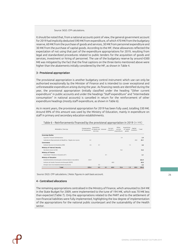#### Source: SIGO. CFP calculations.

It should be noted that, from a national accounts point of view, the general government account for 2019 had implicitly deducted 590 M€ from expenditure, of which 470 M€ from the budgetary reserve, 60 M€ from the purchase of goods and services, 30 M€ from personnel expenditure and 30 M€ from the purchase of capital goods. According to the MF, these allowances reflected the expectation of not using that part of the expenditure appropriations for 2019, resulting from legal and standardized procedures related to public tenders for the acquisition of goods and services, investment or hiring of personnel. The use of the budgetary reserve by around €300 M€ was mitigated by the fact that the final captions on the three items mentioned above were higher than the abatements initially considered by the MF, as shown in Table 4.

#### 3 - Provisional appropriation

The provisional appropriation is another budgetary control instrument which use can only be authorised exceptionally by the Minister of Finance and is intended to cover exceptional and unforeseeable expenditure arising during the year. As financing needs are identified during the year, the provisional appropriation (initially classified under the heading "Other current expenditure" in public accounts and under the headings "Staff expenditure" and "Intermediate consumption" in national accounts) is cancelled in return for the reinforcement of other expenditure headings (mostly staff expenditure, as shown in Table 6).

As in recent years, the provisional appropriation for 2019 has been fully used, totalling 330 M€. Around 89% of this amount was used by the Ministry of Education, mainly in expenditure on staff in primary and secondary education establishments.

<span id="page-25-0"></span>

| Ministério / Serviço                                        | Compensation<br>of employees | Acquisition<br>of goods and Interest<br>services |     | Current<br>transfers | Other<br>current<br>expenditure | Acquisition<br>of capital<br>goods | Capital<br>transfers | Total |
|-------------------------------------------------------------|------------------------------|--------------------------------------------------|-----|----------------------|---------------------------------|------------------------------------|----------------------|-------|
| Sovereign Bodies                                            |                              |                                                  |     |                      |                                 |                                    |                      |       |
| Supremo Tribunal Administrativo                             |                              |                                                  |     |                      | 2.4                             |                                    |                      | 2.4   |
| Gabinete do Representante da República - Região Aut. Açores | 0.1                          |                                                  |     |                      |                                 |                                    | 20.0                 | 20.1  |
| Governance                                                  |                              |                                                  |     |                      |                                 |                                    |                      |       |
| Instituto Nacional de Estatistica (INE)                     | 2.6                          | 0.1                                              |     |                      |                                 | 1.3                                |                      | 4.0   |
| Ministry of Internal Security                               |                              |                                                  |     |                      |                                 |                                    |                      |       |
| Secretaria-Geral do MAI                                     |                              |                                                  |     |                      | 10.2                            |                                    |                      | 10.2  |
| Ministry of Finance                                         |                              |                                                  |     |                      |                                 |                                    |                      |       |
| Autoridade Tributária e Aduaneira (AT)                      |                              |                                                  | 0.1 |                      |                                 |                                    |                      | 0.1   |
| Ministry of Education                                       |                              |                                                  |     |                      |                                 |                                    |                      |       |
| Estabel ecimentos de educação e ensinos básico e secundário | 232.9                        |                                                  |     |                      |                                 |                                    |                      | 232.9 |
| Instituto de Gestão Financeira da Educação (IGEFE)          |                              |                                                  |     | 60.0                 |                                 |                                    |                      | 60.0  |
| Direção-Geral dos Estabelecimentos Escolares                |                              | 0.2                                              |     |                      |                                 |                                    |                      | 0.2   |
| Total                                                       | 235.6                        | 0.3                                              | 0.1 | 60.0                 | 12.6                            | 1.3                                | 20.0                 | 330.0 |

#### Table 6 – Reinforcements financed by the provisional appropriation in 2019 (in  $M \epsilon$ )

Source: DGO. CFP calculations. | Note: figures in cash basis account.

#### 4 - Centralised allocations

The remaining appropriations centralised in the Ministry of Finance, which amounted to 264 M€ in the State Budget for 2009, were implemented to the tune of 194 M€, which was 70 M€ less than expected (Table 7). Only the appropriations related to the PART and to the settlement of non-financial liabilities were fully implemented, highlighting the low degree of implementation of the appropriations for the national public counterpart and the sustainability of the Health sector.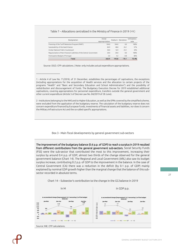#### <span id="page-26-1"></span>Table 7 – Allocations centralized in the Ministry of Finance in 2019 (M€)

| Designation                                                           | Inicial<br>appropriation | Outturn | Deviation | Utilization<br>rate |
|-----------------------------------------------------------------------|--------------------------|---------|-----------|---------------------|
| Financing of the Tariff Reduction Program (PART)                      | 104.0                    | 104.0   | 0.0       | 100%                |
| Sustainability of the Health Sector                                   | 84.9                     | 48.8    | $-36.1$   | 57%                 |
| Global National Public Counterpart                                    | 50.0                     | 16.9    | $-33.1$   | 34%                 |
| Regularization of Non-Financial Liabilities of the Central Government | 20.0                     | 20.0    | 0.0       | 100%                |
| Participative Budget of Portugal                                      | 5.0                      | 4.2     | $-0.8$    | 84%                 |
| Total                                                                 | 263.9                    | 193.8   | $-70.1$   | 73.4%               |

Source: DGO. CFP calculations. | Note: only includes actual expenditure appropriations.

 $\overline{\phantom{a}}$  , where  $\overline{\phantom{a}}$ 

1 - Article 4 of Law No. 71/2018, of 31 December, establishes the percentages of captivations, the exceptions (including appropriations for the acquisition of Health services and the allocation to certain projects of the programs "Health" and "Basic and Secondary Education and School Administration") and the possibility of redistribution and discouragement of funds. The Budgetary Execution Decree for 2019 established additional captivations, covering appropriations for personnel expenditure, transfers outside the general government and other current expenditure (Article 5 of Decree-Law No. 84/2019 of 28 June).

2 - Institutions belonging to the NHS and to Higher Education, as well as the EPRs covered by the simplified scheme, were excluded from the application of the budgetary reserve. The calculation of the budgetary reserve does not concern expenditure financed by European funds, investments of financial assets and liabilities, nor does it concern the Military Infrastructure Act and the so-called specific appropriations.

#### Box 3 - Main fiscal developments by general government sub-sectors

<span id="page-26-2"></span>The improvement of the budgetary balance (0.6 p.p. of GDP) to reach a surplus in 2019 resulted from different contributions from the general government sub-sectors. Social Security Funds (FSS) were the sub-sector that contributed the most to this improvement, increasing their surplus by around 0.4 p.p. of GDP, almost two thirds of the change observed for the general government balance (Chart 14). The Regional and Local Government (ARL) also saw its budget surplus increase, contributing 0.2 p.p. of GDP to the improvement in the balance. In the case of Central Government (CA) there was a reduction in the deficit (by 0.1 p.p. of GDP) mainly explained by nominal GDP growth higher than the marginal change that the balance of this subsector recorded in absolute terms.

<span id="page-26-0"></span>

Chart 14 – Subsector's contribution to the change in the GG balance in 2019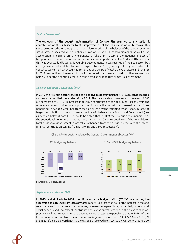#### *Central Government*

The evolution of the budget implementation of CA over the year led to a virtually nil contribution of this sub-sector to the improvement of the balance in absolute terms. This situation occurred even though there was a deterioration of the balance of the sub-sector in the 3rd quarter, associated with a higher volume of IRS and IRC reimbursements, as well as an acceleration in current primary expenditure (Chart 14). Despite the negative impact of temporary and one-off measures on the CA balance, in particular in the 2nd and 4th quarters, this was eventually diluted by favourable developments in tax revenue of the sub-sector, but also by base effects related to one-off expenditure in 2019, namely "BES injured parties". In consolidated terms,<sup>1</sup> CA accounted for 61.2% and 70.3% of total GG expenditure and revenue in 2019, respectively. However, it should be noted that transfers paid to other sub-sectors, namely under the financing laws,<sup>2</sup> are considered as expenditure of central government.

#### *Regional and Local Government (ARL)<sup>3</sup>*

In 2019 the ARL sub-sector returned to a positive budgetary balance (727 M€), consolidating a surplus situation that has existed since 2012. The balance also shows an improvement of 380 M€ compared to 2018. An increase in revenue contributed to this result, particularly from the non-tax and non-contributory component, which more than offset the increase in expenditure, benefiting, in national accounts, from the sale of land by the Municipality of Lisbon. In fact, the largest contribution to the improvement of the ARL balance came from Local Government (LA), as detailed below (Chart 17). It should be noted that in 2019 the revenue and expenditure of the subnational governments represented 13.4% and 10.4%, respectively, of the consolidated total of general government, practically unchanged from the previous year, with the largest financial contribution coming from LA (10.2% and 7.9%, respectively).

<span id="page-27-0"></span>





Source: INE. CFP calculations.

#### *Regional Administration (AR)*

In 2019, and similarly to 2018, the HR recorded a budget deficit (37 M€) interrupting the succession of surpluses from 2013 onwards (Chart 15). More than half of the increase in regional revenue came from tax revenue. However, increases in expenditure, particularly in personnel, social benefits and investment, contributed to a year-on-year change in the balance that was practically nil, notwithstanding the decrease in other capital expenditure that in 2019 reflects lower financial support from the Autonomous Region of the Azores to SATA (7.5 M€ in 2019, 76 M€ in 2018). It is also worth noting the transfers received from CA (590 M€ in 2019, around 20%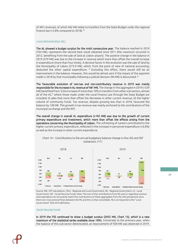of AR's revenue), of which 462 M€ relate to transfers from the State Budget under the regional finance law (+5.8% compared to 2018). <sup>4</sup>

#### *Local Administration (AL)*

The AL showed a budget surplus for the ninth consecutive year. The balance reached in 2019 (764 M€), represents the second best result obtained since 2011 (the maximum occurred in 2012, benefiting from the sale of land at Lisbon airport). The positive change in the balance in 2019 (379 M€) was due to the increase in revenue which more than offset the overall increase in expenditure (more than four times). A decisive factor in this evolution was the sale of land by the Municipality of Lisbon (273.9 M€), which, from the point of view of national accounting, deducted the other capital expenditure. <sup>5</sup> Excluding this effect, there would still be an improvement in the balance. However, this would be almost zero if the impact of the payment made in 2018 by that municipality following a judicial decision (96 M€) is discounted.  $6$ 

The favourable evolution of non-tax and non-contributory revenue in 2019 was mainly responsible for the increase in AL revenue of 481 M€. The change in this aggregate in 2019 (+329 M€) benefited from: i) the increase of more than 10% in transfers from other sub-sectors, almost all of the AC,<sup>7</sup> where those made under the Local Finance Law through the State Budget are included; ii) sales that more than offset the decreases in other current revenue; iii) the higher volume of community funds. Tax revenue, despite growing less than in 2018, favoured the balance by 138 M€. This growth in tax revenue was mainly anchored to the contributions of the municipal surcharge and the IMT.

The overall change in overall AL expenditure (+102 M€) was due to the growth of current primary expenditure and investment, which more than offset the effects arising from the operations concerning the Municipality of Lisbon. The unfreezing of careers contributed to the higher current primary expenditure, reflected in the increase in personnel expenditure (+6.8%) as well as the increase in other current expenditure.



### <span id="page-28-0"></span>Chart 16 – Contributions to the annual budgetary balance change in the LRG and SSF subsectors (M€)

Source: INE. CFP calculations. | RLG - Regional and Local Government, RG - Regional Government, LG - Local Government, SSF - Social Security Funds. Note: The sum of the contributions from RG and LG regarding revenue and expenditure do not exactly match the contributions of these aggregates from the LRG perspective since there are cross-sectoral flows between the RG and the LG that consolidate. RLG corresponds to the "Local Government" ESA 2010 definition.

#### *Social Security Funds*

In 2019 the FSS continued to show a budget surplus (2955 M€, Chart 15), which is a new maximum of the statistical series available since 1995. Conversely to the previous year, when the balance of this sub-sector deteriorated, an improvement of 928 M€ was observed in 2019.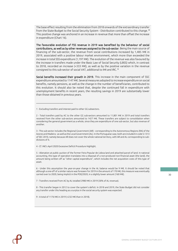The base effect resulting from the elimination from 2018 onwards of the extraordinary transfer from the State Budget to the Social Security System - Distribution contributed to this change. <sup>8</sup> This positive change was anchored in an increase in revenue that more than offset the increase in expenditure (Chart 16).

The favourable evolution of FSS revenue in 2019 was benefited by the behaviour of social contributions, as well as by other revenues assigned to the sub-sector. Being the main source of financing of the sub-sector, the revenue from social contributions increased by 1,485 M€ in 2019, associated with a positive labour market environment, which more than exceeded the increase in total SSS expenditure (1,197 M€). The evolution of the revenue was also favoured by the increase in transfers made under the Basic Law of Social Security (LBSS) which, in contrast to 2018, recorded an increase (+333 M€), as well as by the positive variation in the revenue consigned to this sub-sector of social VAT, additional to IMI and IRC. <sup>9</sup>

Social benefits increased their growth in 2019. This increase in the main component of SSC expenditure amounted to 1147 M€. Several measures adopted to increase expenditure on social benefits, namely pensions, as well as the change in the number of beneficiaries, contributed to this evolution. It should also be noted that, despite the continued fall in expenditure with unemployment benefits in recent years, the resulting savings in 2019 are substantially lower than those obtained in previous years.

1 - Excluding transfers and interest paid to other GG subsectors.

\_\_\_\_\_\_\_\_\_\_\_\_\_\_\_\_\_\_\_\_\_\_\_\_\_

3 - This sub-sector includes the Regional Government (AR) - corresponding to the Autonomous Regions (RA) of the Azores and Madeira - as well as the Local Government (AL). In the Portuguese case, both are included in code S.1313 of SEC 2010, namely because AR does not cover the whole national territory, with AR and AL corresponding to subdivisions of it.

4 - Cf. INE's April 2020 Excessive Deficit Procedure Highlight.

5 - Alienation at public auction of the former Feira Popular de Lisboa land and attached parcel of land. In national accounting, this type of operation translates into a disposal of a non-produced non-financial asset (the land), the amount being written off as "other capital expenditure", which includes the net acquisition costs of this type of asset.

6 - Under this assumption the year-on-year change in the AL balance would be 9 M€. It should be noted that although a one-off of a similar nature was foreseen for 2019 in the amount of 170 M€, this measure was eventually carried over to 2020, being implicit in the POE/2020, in a slightly lower amount (160 M€).

7 - Transfers received from AC by AL totalled 2980 M€ in 2019 (30% of AL revenue).

8 - This transfer began in 2012 to cover the system's deficit. In 2018 and 2019, the State Budget did not consider any transfer under this heading as a surplus in the social security system was expected.

9 - A total of 1176 M€ in 2019 (+232 M€ than in 2018).

<sup>2 -</sup> Total transfers paid by AC to the other GG sub-sectors amounted to 11,801 M€ in 2019 and total transfers received from the other sub-sectors amounted to 1427 M€. These transfers are subject to consolidation when considering the general government as a whole, since they are expenditure of one sub-sector, but also revenue of another.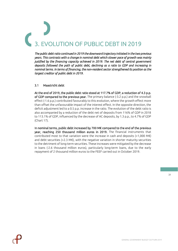# **DLUTION OF PUBLIC DEBT IN 2019**

<span id="page-30-0"></span>*The public debt ratio continued in 2019 the downward trajectory initiated in the two previous years. This contrasts with a change in nominal debt which slower pace of growth was mainly justified by the financing capacity achieved in 2019. The net debt of central government deposits followed the path of public debt, declining as a ratio to GDP and increasing in nominal terms. In terms of financing, the non-resident sector strengthened its position as the largest creditor of public debt in 2019.*

# <span id="page-30-1"></span>3.1 Maastricht debt

At the end of 2019, the public debt ratio stood at 117.7% of GDP, a reduction of 4.3 p.p. of GDP compared to the previous year. The primary balance (-3.2 p.p.) and the snowball effect (-1.6 p.p.) contributed favourably to this evolution, where the growth effect more than offset the unfavourable impact of the interest effect. In the opposite direction, the deficit adjustment led to a 0.5 p.p. increase in the ratio. The evolution of the debt ratio is also accompanied by a reduction of the debt net of deposits from 116% of GDP in 2018 to 113.1% of GDP, influenced by the decrease of AC deposits, by 1.3 p.p., to 4.7% of GDP (Chart 17).

In nominal terms, public debt increased by 700 M€ compared to the end of the previous year, reaching 250 thousand million euros in 2019. The financial instruments that contributed most to that variation were the increase in cash and deposits  $(+1,000 \text{ M})$ and debt securities (+2.3 M€), with the negative variation in shorter maturity securities to the detriment of long-term securities. These increases were mitigated by the decrease in loans (-2.6 thousand million euros), particularly long-term loans, due to the early repayment of 2 thousand million euros to the FEEF carried out in October 2019.

31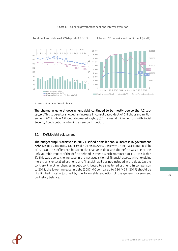<span id="page-31-1"></span>

#### Chart 17 – General government debt and interest evolution



The change in general government debt continued to be mostly due to the AC subsector. This sub-sector showed an increase in consolidated debt of 0.8 thousand million euros in 2019, while ARL debt decreased slightly (0.1 thousand million euros), with Social Security Funds debt maintaining a zero contribution.

# <span id="page-31-0"></span>3.2 Deficit-debt adjustment

The budget surplus achieved in 2019 justified a smaller annual increase in government debt. Despite a financing capacity of 404 M€ in 2019, there was an increase in public debt of 720 M€. This difference between the change in debt and the deficit was due to the unfavourable impact of the deficit-debt adjustment, which amounted to 1124 M€ (Table 8). This was due to the increase in the net acquisition of financial assets, which explains more than the total adjustment, and financial liabilities not included in the debt. On the contrary, the other changes in debt contributed to a smaller adjustment. In comparison to 2018, the lower increase in debt (2087 M€ compared to 720 M€ in 2019) should be highlighted, mostly justified by the favourable evolution of the general government budgetary balance.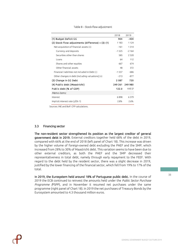<span id="page-32-1"></span>

|                                                       | 2018     | 2019    |
|-------------------------------------------------------|----------|---------|
| (1) Budget Deficit GG                                 | 904      | -404    |
| $(2)$ Stock-flow adjustments (difference) = $(3)-(1)$ | 1 1 8 3  | 1 1 2 4 |
| Net acquisition of financial assets $(+)$             | $-161$   | 1 3 1 4 |
| Currency and deposits                                 | -1 525   | $-2164$ |
| Securities other than shares                          | 585      | 2 3 2 0 |
| Loans                                                 | 64       | 112     |
| Shares and other equities                             | 667      | 674     |
| Other financial assets                                | 48       | 372     |
| Financial liabilities not included in Debt (-)        | $-1.557$ | $-686$  |
| Other changes in debt (including valuations] (+)      | $-213$   | -877    |
| (3) Change in GG Debt                                 | 2087     | 720     |
| (4) Public debt ( <i>Maastricht</i> )                 | 249 261  | 249 980 |
| Public debt (% of GDP)                                | 122.0    | 117.7   |
| Memo items:                                           |          |         |
| Interest                                              | 6898     | 6379    |
| Implicit interest rate (J/Dt-1)                       | 2.8%     | 2.6%    |
|                                                       |          |         |

#### Table 8 – Stock-flow adjustment

Sources: INE and BoP. CFP calculations.

### <span id="page-32-0"></span>3.3 Financing sector

The non-resident sector strengthened its position as the largest creditor of general government debt in 2019. External creditors together held 68% of the debt in 2019, compared with 66% at the end of 2018 (left panel of Chart 18). This increase was driven by the higher volume of foreign-owned debt excluding the PAEF and the SMP, which increased from 28% to 30% of Maastricht debt. This variation seems to have been due to other external creditors, as both the PAEF and the SMP decreased their representativeness in total debt, namely through early repayment to the FEEF. With regard to the debt held by the resident sector, there was a slight decrease in 2019, justified by the lower financing of the financial sector, which fell from 19% to 17% of the total.

In 2019, the Eurosystem held around 18% of Portuguese public debt. In the course of 2019 the ECB continued to reinvest the amounts held under the *Public Sector Purchase Programme (*PSPP), and in November it resumed net purchases under the same programme (right panel of Chart 18). In 2019 the net purchases of Treasury Bonds by the Eurosystem amounted to 4.3 thousand million euros.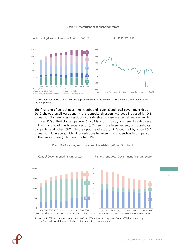<span id="page-33-0"></span>

#### Chart 18 - Maastricht debt financing sectors

Sources: BoP, ECB and IGCP. CFP calculations. | Note: the sum of the different parcels may differ from 100% due to rounding effects.

The financing of central government debt and regional and local government debt in 2019 showed small variations in the opposite direction. AC debt increased by 0.2 thousand million euros as a result of a considerable increase in external financing (which finances 50% of the total, left panel of Chart 19), and was partly countered by a decrease in the financing of the financial sector (30%) and, to a lesser extent, of households, companies and others (20%). In the opposite direction, ARL's debt fell by around 0.2 thousand million euros, with minor variations between financing sectors in comparison to the previous year (right panel of Chart 19).



<span id="page-33-1"></span>

Sources: BoP. CFP calculations. | Note: the sum of the different parcels may differ from 100% due to rounding effects. The charts use different scales to facilitate graphical representation.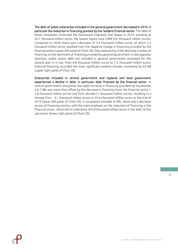The debt of public enterprises included in the general government decreased in 2019, in particular the reduction in financing granted by the resident financial sector. The debt of these companies continued the downward trajectory that began in 2014, standing at 26.7 thousand million euros, the lowest figure since 2009 (24 thousand million euros). Compared to 2018, there was a decrease of 3.9 thousand million euros, of which 3.5 thousand million euros resulted from the negative change in financing provided by the financial sector (upper left panel of Chart 20). Also noteworthy is the decrease in external financing, to the detriment of financing provided by general government. In the opposite direction, public sector debt not included in general government increased for the second year in a row, from 6.8 thousand million euros to 7.3 thousand million euros. External financing recorded the most significant positive change, increasing by 0.6 B€ (upper right panel of Chart 20).

Enterprises included in central government and regional and local government experienced a decline in debt, in particular debt financed by the financial sector. In central government companies the slight increase in financing provided by households (+0.7 B€) was more than offset by the decrease in financing from the financial sector (- 2.8 thousand million euros) and from abroad (-1 thousand million euros), resulting in a change from - 3.1 thousand million euros to 25.6 thousand million euros at the end of 2019 (lower left panel of Chart 20). In companies included in ARL, there was a decrease across all financing sectors, with the main emphasis on the reduction of financing in the financial sector, which led to a decrease of 0.8 thousand million euros in the debt of this sub-sector (lower right panel of Chart 20).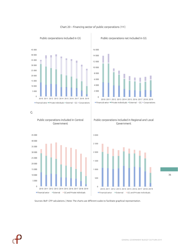

Chart 20 – Financing sector of public corporations (M€)

0 2 000 4 000 6 000 8 000 10 000 12 000 14 000 16 000 2010 2011 2012 2013 2014 2015 2016 2017 2018 2019  $\blacksquare$  Financial setor  $\blacksquare$  Private individuals  $\blacksquare$  External  $\blacksquare$  GG  $\blacksquare$  Corporations

<span id="page-35-0"></span>Public corporations included in GG Public corporations not included in GG

G

Public corporations included in Central Government



Public corporations included in Regional and Local Government



Sources: BoP. CFP calculations. | Note: The charts use different scales to facilitate graphical representation.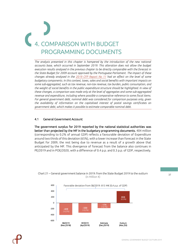# <span id="page-36-0"></span>4. COMPARISON WITH BUDGET PROGRAMMING DOCUMENTS

*The analysis presented in this chapter is hampered by the introduction of the new national accounts base, which occurred in September 2019. This alteration does not allow the budget execution results analysed in the previous chapter to be directly comparable with the forecast in the State Budget for 2009 account approved by the Portuguese Parliament. The impact of these changes already analysed in the 2019 CFP [Report No 11](https://www.cfp.pt/uploads/publicacoes_ficheiros/cfp-rel-11-2019.pdf) had an effect on the level of some budgetary components. In this context, taxes, sales and social benefits with important impacts on some sub-aggregated, such as tax revenue, non-tax revenue, tax burden, public consumption, and the weight of social benefits in the public expenditure structure should be highlighted. In view of these changes, a comparison was made only at the level of aggregates and some sub-aggregated revenue and expenditure, including where possible a comparative reference to some fiscal items. For general government debt, nominal debt was considered for comparison purposes only, given the availability of information on the capitalised interest of postal savings certificates on government debt, which makes it possible to estimate comparable nominal debt.*

# <span id="page-36-1"></span>4.1 General Government Account

The government surplus for 2019 reported by the national statistical authorities was better than projected by the MF in the budgetary programming documents. 404 million (corresponding to 0.2% of annual GDP) reflects a favourable deviation of Expenditure around two thirds of this deviation (65%), with a lower increase than forecast in the State Budget for 2009, the rest being due to revenue as a result of a growth above that anticipated by the MF. This divergence of forecast from the balance also continues in PE/2019 and in POE/2020, with a difference of 0.4 p.p. and 0.3 p.p. of GDP, respectively.



# <span id="page-36-2"></span>Chart 21 – General government balance in 2019: from the State Budget 2019 to the outturn (in Million €)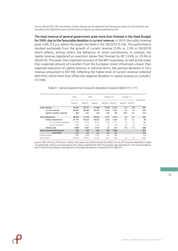Source: INE and MF. CFP calculations. | Notes: figures are not adjusted from temporary measures; the Estimate was included in the DSB/2020 report and the Outturn figures are those published by INE.

The total revenue of general government grew more than forecast in the State Budget for 2009, due to the favourable deviation in current revenue. In 2019, the public revenue grew 3.8%, 0.3 p.p. above the target inscribed in the OE/2019 (3.5%). This performance resulted exclusively from the growth of current revenue (3.9% vs. 2.9% in OE/2019) which reflects, among others, the behaviour of social contributions. In contrast, the capital revenue registered an execution below that forecast by MF (-9.6% vs. 59.4% in OE/2019). The lower than expected recovery of the BPP Guarantee, as well as the lower than expected amount of transfers from the European Union influenced a lower than expected execution of capital revenue. In nominal terms, the positive deviation in GG's revenue amounted to 287 M€, reflecting the higher level of current revenue collected (859 M  $\epsilon$ ), which more than offset the negative deviation in capital revenue as a whole (-572 M€).

<span id="page-37-0"></span>

|                             | 2018    | Change $(ME)$<br>2019 |         |         | Change $(\%)$ |         |         |            |
|-----------------------------|---------|-----------------------|---------|---------|---------------|---------|---------|------------|
|                             | Outturn | SB/2019               | Outturn | SB/2019 | 2018/19       | SB/2019 | 2018/19 | Deviations |
| Total revenue               | 87 695  | 90 721                | 91 008  | 3 0 2 6 | 3313          | 3.5     | 3.8     | 287        |
| <b>Current revenue</b>      | 86867   | 89 400                | 90 259  | 2 5 3 4 | 3 3 9 3       | 2.9     | 3.9     | 859        |
| Capital transfers received  | 829     | 1321                  | 749     | 492     | -80           | 59.4    | -9.6    | -572       |
| Total expenditure           | 88 599  | 91 130                | 90 604  | 2 5 3 1 | 2005          | 2.9     | 2.3     | -526       |
| Primary expenditure         | 81701   | 84 263                | 84 225  | 2 5 6 2 | 2 5 2 4       | 3.1     | 3.1     | $-38$      |
| Current primary expenditure | 75 399  | 77932                 | 78 112  | 2533    | 2713          | 3.4     | 3.6     | 180        |
| Capital expenditure         | 6 3 0 2 | 6331                  | 6 1 1 3 | 29      | $-189$        | 0.5     | $-3.0$  | $-218$     |
| Interest paid               | 6898    | 6867                  | 6379    | $-31$   | $-519$        | $-0.4$  | $-7.5$  | $-488$     |
| General government balance  | $-904$  | $-409$                | 404     | 495     | 1 3 0 8       |         |         | 813        |
| in % of GDP                 | $-0.4$  | $-0.2$                | 0.2     | 0.2     | 0.6           |         |         | 0.4        |
| Primary balance             | 5994    | 6458                  | 6783    | 464     | 789           |         |         | 325        |
| Nominal GDP                 | 204 305 | 209 322               | 212 303 | 5017    | 7998          | 2.5     | 3.9     | 2981       |

Table 9 – General government account: deviations towards SB/2019 (in M€)

Source: INE, Ministry of Finance. | Notes: the values are influenced by the effect of one-off measures detailed in Table 16 (attached); outturn corresponds to the values published by INE; the positive sign deviations in the overall balance and in the primary balance correspond to favorable deviations compared to the SB/2019.

38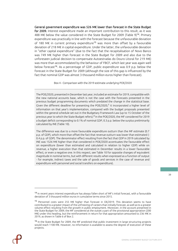General government expenditure was 526 M€ lower than forecast in the State Budget for 2009. Interest expenditure made an important contribution to this result, as it was 488 M€ below the value considered in the State Budget for 2009 (Table 9)<sup>14</sup>. Primary expenditure was practically in line with the forecast because the unfavourable deviation of 180 M€ in current primary expenditure<sup>15</sup> was more than offset by a favourable deviation of 218 M€ in capital expenditure. Under the latter, the unfavourable deviation in "other capital expenditure" (due to the fact that the recapitalisation of Novo Banco was 749 M€ higher than forecast in the State Budget for 2009 and also due to the unforeseen judicial decision to compensate Autoestradas do Douro Litoral for 219 M€) was more than accommodated by the behaviour of FBCF, which last year was again well below forecast<sup>16</sup>. As a percentage of GDP, public expenditure was 0.9 p.p. below the forecast in the State Budget for 2009 (although the size of this gap is influenced by the fact that nominal GDP was almost 3 thousand million euros higher than forecast).

#### Box 4 - Comparison with the 2019 estimate underlying POE/2020

<span id="page-38-0"></span>The POE/2020, presented in December last year, included an estimate for 2019, compatible with the new national accounts base, which is not the case with the forecasts presented in the previous budget programming documents which predated the change in the statistical base. Given the different deadline for presenting the POE/2020,<sup>1</sup> it incorporated a higher level of information on that year's implementation, compared with the budget proposals presented within the general schedule set out in the Budgetary Framework Law (up to 15 October of the previous year to which the State Budget refers).<sup>2</sup> In the POE/2020, the MF considered for 2019 a budget deficit corresponding to 0.1% of nominal GDP, 0.3 p.p. below the surplus preliminarily calculated by INE (Table 10).

The difference was due to a more favourable expenditure outturn than the MF estimate (0.7 p.p. of GDP), which more than offset the fact that revenue outturn was lower than estimated (- 0.4 p.p. of GDP). The denominator effect resulting from the fact that GDP in 2019 calculated by INE was 1526 M€ higher than that considered in POE/2020 accentuates the favourable effect on expenditure (lower than estimated and calculated in relation to higher GDP) while on revenue, a higher execution than that estimated in December results in a lower favourable effect, or even a negative one. In this respect, see Table 10 for opposite changes of equivalent magnitude in nominal terms, but with different results when expressed as a function of output - for example, indirect taxes and the sale of goods and services in the case of revenue and expenditure with personnel and social transfers on expenditure).

<sup>14</sup> In recent years interest expenditure has always fallen short of MF's initial forecast, with a favourable deviation of 3 thousand million euros in cumulative terms since 2015.

<sup>15</sup> Personnel costs were 255 M€ higher than forecast in OE/2019. This deviation seems to have contributed to a greater impact of the unfreezing of careers than initially forecast, as well as to a greater volume effect resulting from the growth in public employment. Moreover, in the account presented in the State Budget for 2009, the MF considered at the outset a part of the provisional appropriation (200 M€) under this heading, but the reinforcement in return for that appropriation amounted to 236 M€ in 2019, as shown in Table 6 of Box 2.

<sup>&</sup>lt;sup>16</sup> In the State Budget for 2009, the MF predicted that public investment in large structuring projects would reach 1100 M€. However, no information is available to assess the degree of execution of these projects.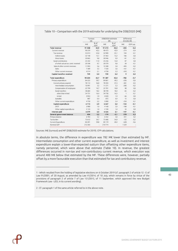|                                       | Turnout   |             | DSB/2020 estimate      |             | Difference          |          |
|---------------------------------------|-----------|-------------|------------------------|-------------|---------------------|----------|
|                                       | [A]<br>M€ | % of<br>GDP | [ <sub>B</sub> ]<br>M€ | % of<br>GDP | $[C]=[A]-[B]$<br>M€ | GDP p.p. |
| <b>Total revenue</b>                  | 91 008    | 42.9        | 91 213                 | 43.3        | $-205$              | $-0.4$   |
| Current revenue                       | 90 259    | 42,5        | 90 473                 | 42,9        | $-214$              | $-0,4$   |
| Tax revenue                           | 53 013    | 25,0        | 52 909                 | 25,1        | 104                 | $-0,1$   |
| Indirect taxes                        | 32 148    | 15,1        | 31963                  | 15,2        | 186                 | 0,0      |
| Direct taxes                          | 20865     | 9,8         | 20 946                 | 9,9         | $-81$               | $-0.1$   |
| Social contributions                  | 25 342    | 11,9        | 25 2 5 6               | 12.0        | 87                  | 0,0      |
| of which: actual soc. contr. received | 20 5 98   | 9,7         | 20 570                 | 9.8         | 28                  | $-0,1$   |
| Sales & other current revenues        | 11 903    | 5,6         | 12 3 08                | 5,8         | $-405$              | $-0,2$   |
| Sales                                 | 7389      | 3.5         | 7550                   | 3.6         | $-161$              | $-0,1$   |
| Other current revenues                | 4514      | 2.1         | 4758                   | 2.3         | $-243$              | $-0,1$   |
| Capital transfers received            | 749       | 0.4         | 739                    | 0.4         | 9                   | 0,0      |
| Total expenditure                     | 90 604    | 42.7        | 91 387                 | 43.4        | $-782$              | $-0.7$   |
| Primary expenditure                   | 84 2 2 5  | 39,7        | 84 861                 | 40,3        | $-636$              | $-0,6$   |
| Current primary expend.               | 78 112    | 36,8        | 78 5 9 3               | 37,3        | $-481$              | $-0,5$   |
| Intermediate consumption              | 10 9 9 1  | 5,2         | 11 271                 | 5.3         | $-280$              | $-0,2$   |
| Compensation of employees             | 22799     | 10,7        | 22 701                 | 10,8        | 98                  | 0,0      |
| Social transfers                      | 38 684    | 18,2        | 38749                  | 18.4        | $-65$               | $-0,2$   |
| other than in kind                    | 34731     | 16,4        | 34730                  | 16,5        | $\mathbf{1}$        | $-0,1$   |
| in kind                               | 3953      | 1.9         | 4020                   | 1.9         | $-66$               | 0.0      |
| Subsidies                             | 887       | 0,4         | 872                    | 0.4         | 15                  | 0.0      |
| Other current expenditure             | 4750      | 2,2         | 5 0 0 0                | 2.4         | $-250$              | $-0,1$   |
| Capital expenditure                   | 6113      | 2.9         | 6267                   | 3.0         | $-154$              | $-0.1$   |
| GECE                                  | 3980      | 1.9         | 4 1 6 8                | 2.0         | $-188$              | $-0,1$   |
| Other capital expenditures            | 2 1 3 3   | 1,0         | 2 1 0 0                | 1,0         | 34                  | 0,0      |
| Interest paid                         | 6379      | 3,0         | 6526                   | 3,1         | $-147$              | $-0.1$   |
| General government balance            | 404       | 0,2         | $-174$                 | $-0.1$      | 578                 | 0.3      |
| Primary balance                       | 6783      | 3,2         | 6352                   | 3,0         | 431                 | 0,2      |
| Tax burden                            | 73612     | 34,7        | 73 480                 | 34,9        | 132                 | $-0,2$   |
| Current Expenditure                   | 84 491    | 39,8        | 85 119                 | 40,4        | $-628$              | $-0,6$   |
| Nominal GDP                           | 212 303   | ÷           | 210774                 |             | 1529                |          |

#### <span id="page-39-0"></span>Table 10 – Comparison with the 2019 estimate for underlying the DSB/2020 (M€)

Sources: INE (turnout) and MF (DSB/2020 estimate for 2019). CFP calculations.

In absolute terms, the difference in expenditure was 782 M€ lower than estimated by MF. Intermediate consumption and other current expenditure, as well as investment and interest expenditure explain a lower-than-expected outturn than offsetting other expenditure items, namely personnel, which were above that estimate (Table 10). In revenue, the greatest differences occurred in non-tax and non-contributory current revenue, which execution was around 400 M€ below that estimated by the MF. These differences were, however, partially offset by a more favourable execution than that estimated for tax and contributory revenue.

\_\_\_\_\_\_\_\_\_\_\_\_\_\_\_\_\_\_\_\_\_\_\_\_\_

<sup>1 -</sup> Which resulted from the holding of legislative elections on 6 October 2019 (cf. paragraph 2 of article 12 - E of Law 91/2001, of 20 August, as amended by Law 41/2014, of 10 July, which remains in force by virtue of the provisions of paragraph 2 of article 7 of Law 151/2015, of 11 September, which approved the new Budget Framework Law - LEO, in its current wording).

<sup>2 -</sup> Cf. paragraph 1 of the same article referred to in the above note.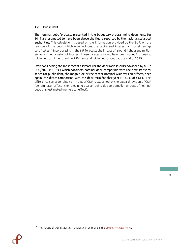# <span id="page-40-0"></span>4.2 Public debt

The nominal debt forecasts presented in the budgetary programming documents for 2019 are estimated to have been above the figure reported by the national statistical authorities. This calculation is based on the information provided by the BoP. on the revision of the debt, which now includes the capitalised interest on postal savings certificates<sup>17</sup>. Incorporating in the MF forecasts the impact of around 4 thousand million euros on the inclusion of interest, those forecasts would have been about 2 thousand million euros higher than the 250 thousand million euros debt at the end of 2019.

Even considering the most recent estimate for the debt ratio in 2019 advanced by MF in POE/2020 (118.9%) which considers nominal debt compatible with the new statistical series for public debt, the magnitude of the recent nominal GDP revision affects, once again, the direct comparison with the debt ratio for that year (117.7% of GDP). This difference corresponding to 1.1 p.p. of GDP is explained by the upward revision of GDP (denominator effect), the remaining quarter being due to a smaller amount of nominal debt than estimated (numerator effect).

<sup>17</sup> The analysis of these statistical revisions can be found in the *[2019 CFP Report No 11](https://www.cfp.pt/uploads/publicacoes_ficheiros/cfp-rel-11-2019.pdf)*.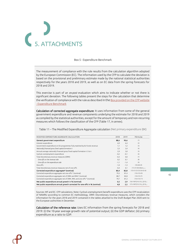<span id="page-41-0"></span>

#### Box 5 - Expenditure Benchmark

<span id="page-41-2"></span>The measurement of compliance with the rule results from the calculation algorithm adopted by the European Commission (EC). The information used by the CFP to calculate the deviation is based on the provisional and preliminary estimate made by the national statistical authorities respectively for the years 2018 and 2019, as well as on EC data from the spring forecasts for 2018 and 2019.

This exercise is part of an *ex-post* evaluation which aims to indicate whether or not there is significant deviation. The following tables present the steps for the calculation that determine the verification of compliance with the rule as described in the Box provided on [the CFP website](https://www.cfp.pt/pt/caixas/financas-publicas/benchmark-da-despesa-expenditure-benchmark)  - [Expenditure Benchmark](https://www.cfp.pt/pt/caixas/financas-publicas/benchmark-da-despesa-expenditure-benchmark)

Calculation of corrected aggregate expenditure: It uses information from some of the general government expenditure and revenue components underlying the estimate for 2018 and 2019 as compiled by the statistical authorities, except for the amount of temporary and non-recurring measures which follows the classification of the CFP (Table 17, in annex).

<span id="page-41-1"></span>Table 11 – The Modified Expenditure Aggregate calculation (Net primary expenditure (B€)

| MODIFIED EXPENDITURE AGGREGATE CALCULATION                                 | 2018   | 2019   | <b>Fórmulas</b>                          |
|----------------------------------------------------------------------------|--------|--------|------------------------------------------|
| General government expenditure                                             | 88.6   | 90.6   | (1)                                      |
| Interest expenditure                                                       | 6,9    | 6,4    | (2)                                      |
| Government expenditure on EU programmes fully matched by EU funds revenue  | 1,1    | 1,2    | (3)                                      |
| Nationally financed gross fixed capital formation t                        | 3,3    | 3,4    | (4)                                      |
| Annual average nationally financed gross fixed capital formation t-3 to t  | 2,9    | 3,0    | (5)                                      |
| Cyclical unemployment expenditure                                          | $-0,2$ | $-0,1$ | (6)                                      |
| Total discretionary revenue measures (DRM)                                 | $-0,3$ | 0,0    | (7)                                      |
| One-offs on the revenue side                                               | 0,2    | 0,1    | (8)                                      |
| One-offs on the expenditure side                                           | $-1,1$ | $-1,4$ | (9)                                      |
| One-offs                                                                   | $-1,0$ | $-1,3$ | $(10)=(8)+(9)$                           |
| Total discretionary revenue measures net of one-offs                       | $-0,4$ | 0,1    | $(11)=(7)-(8)+(8)$ ano <sub>(n-1)</sub>  |
| Corrected expenditure aggregate* (nominal)                                 | 80,4   | 82.8   | $(12)=(1)-(2)-(3)-(4)+(5)-(6)$           |
| Corrected expenditure aggregate net one-offs * (nominal)                   | 79,3   | 81,4   | $(13)=(12)+(9)$                          |
| Corrected expenditure aggregate net of DRM and RML* (nominal)              | 80.7   | 82,8   | $(14)=(12)-(7)$                          |
| Corrected expenditure aggregate net of DRM, RML and one-offs * (nominal)   | 79,7   | 81,3   | $(15)=(13)-(11)$                         |
| Net public expenditure annual growth in % (nominal)                        | 0.5    | 2.9    | $(16)=100*[ (14)-(12)_{1-1}]/(12)_{1-1}$ |
| Net public expenditure annual growth corrected for one-offs in % (nominal) | 4,8    | 2.5    | $(17)=100*[ (15)-(13)_{k-1}]/(13)_{k-1}$ |

Sources: MF and EC. CFP calculations. Note: Cyclical unemployment benefit expenditure uses the CFP recalculation of NAWRU according to common EC methodology. DRM: Discretionary revenue measures, which considers the information for the years 2018 and 2019 contained in the tables attached to the Draft Budget Plan 2020 sent to the European authorities in December.

Calculation of the reference rate: Uses EC information from the spring forecasts for 2018 and 2019: (i) the 10-year average growth rate of potential output; (ii) the GDP deflator; (iii) primary expenditure as a ratio to GDP.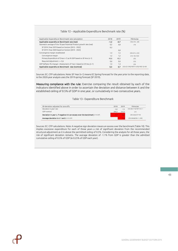#### Table 12 – Applicable Expenditure Benchmark rate (%)

<span id="page-42-0"></span>

| Applicable Expenditure Benchmark rate calculation                     | 2018   | 2019   | <b>Fórmulas</b>                                      |
|-----------------------------------------------------------------------|--------|--------|------------------------------------------------------|
| Applicable expenditure Benchmark rate (real)                          | $-1,2$ | $-0.7$ | $(18)=(19)-(20)$                                     |
| Geometric average of the 10-year Potential Product growth rate (real) | 0,2    | 0,8    | (19)                                                 |
| SF 2018  Year 2019 based on horizon [2013 - 2022]                     | 0,2    |        |                                                      |
| SF 2019  Year 2020 based on horizon [2014 - 2023]                     |        | 0,8    |                                                      |
| Convergence margin recalibrated                                       | 1,4    | 1,5    | $(20)=(21) \times (22)$                              |
| Convergence margin                                                    | 1,2    | 1,2    | $(21) = 50 / (22)$                                   |
| Primary Expenditure of (Year n-1) as % GDP based on SF Ano (n-1)      | 40,8   | 40,5   | (22)                                                 |
| Required Adjustment $>$ = 0,6                                         | 0,6    | 0,6    | (23)                                                 |
| GDP deflator (% change)   Assessment of Year n based on SF Ano (n-1)  | 1,4    | 1,4    | (24)                                                 |
| Applicable expenditure Benchmark rate (nominal)                       | 0,2    | 0.7    | $(25)=[(1+(18)/100)*(1+(24)/100)\cdot 1] \times 100$ |

Sources: EC. CFP calculations. Note: SF Year (n-1) means EC Spring Forecast for the year prior to the reporting date, ie the 2020-year analysis uses the 2019 spring forecast (SF 2019).

<span id="page-42-1"></span>Measuring compliance with the rule: Exercise comparing the result obtained by each of the indicators identified above in order to ascertain the deviation and distance between it and the established ceiling of 0.5% of GDP in one year, or cumulatively in two consecutive years.

#### Table 13 - Expenditure Benchmark

| EB deviation adjusted for one-offs                                             | 2018   | 2019   | <b>Fórmulas</b>                |
|--------------------------------------------------------------------------------|--------|--------|--------------------------------|
| Deviation in year t (B€)                                                       | $-3.5$ | $-1.5$ | $(26)=[(8)-(17)]/100*(13)$ t-1 |
| GDP nominal                                                                    | 204.3  | 212.3  | (27)                           |
| Deviation in year t, if negative it is an excess over the benchmark (in % GDP) | -1.7   | $-0.7$ | $(28)=(26)/(27)*100$           |
| Average deviation in t-1 and t (in % GDP)                                      |        | $-1.2$ | (29)=Média[(28) t-1;(28)]      |

Sources: EC. CFP calculations. Note: A negative sign deviation means an excess over the benchmark (Table 10). This implies excessive expenditure for each of those years a risk of significant deviation from the recommended structural adjustment as it is above the permitted ceiling of 0.5%. Considering the analysis for all those years, the risk of significant deviation remains. The average deviation of -1.1% from GDP is greater than the admitted cumulative ceiling of 0.5% of GDP (ie 0.25% of GDP each year).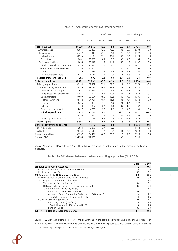<span id="page-43-0"></span>

|                                   | M€       |         |      | % of GDP |                      | Annual change  |         |          |  |  |
|-----------------------------------|----------|---------|------|----------|----------------------|----------------|---------|----------|--|--|
|                                   | 2018     | 2019    | 2018 | 2019     | %                    | Ctrc           | M€      | p.p. GDP |  |  |
| <b>Total Revenue</b>              | 87 529   | 90 955  | 42.8 | 42.8     | 3.9                  | 3.9            | 3 4 2 6 | 0.0      |  |  |
| Current revenue                   | 86867    | 90 259  | 42.5 | 42.5     | 3.9                  | 3.9            | 3 3 9 3 | 0.0      |  |  |
| Tax revenue                       | 51 637   | 53 013  | 25.3 | 25.0     | 2.7                  | 1.6            | 1377    | $-0.3$   |  |  |
| Indirect taxes                    | 30 956   | 32 148  | 15.2 | 15.1     | 3.9                  | 1.4            | 1 1 9 3 | 0.0      |  |  |
| Direct taxes                      | 20 681   | 20865   | 10.1 | 9.8      | 0.9                  | 0.2            | 184     | $-0.3$   |  |  |
| Social contributions              | 23835    | 25 3 42 | 11.7 | 11.9     | 6.3                  | 1.7            | 1507    | 0.3      |  |  |
| of which: actual soc. contr. rece | 19 128   | 20 5 98 | 9.4  | 9.7      | 7.7                  | 1.7            | 1471    | 0.3      |  |  |
| Sales & other current revenues    | 11 3 9 5 | 11 903  | 5.6  | 5.6      | 4.5                  | 0.6            | 509     | 0.0      |  |  |
| Sales                             | 7 1 2 9  | 7 3 8 9 | 3.5  | 3.5      | 3.6                  | 0.3            | 260     | 0.0      |  |  |
| Other current revenues            | 4 2 6 5  | 4514    | 2.1  | 2.1      | 5.8                  | 0.3            | 249     | 0.0      |  |  |
| Capital transfers received        | 662      | 696     | 0.3  | 0.3      | 5.1                  | 0.0            | 34      | 0.0      |  |  |
| Total expenditure                 | 87 482   | 89 236  | 42.8 | 42.0     | 2.0                  | 2.0            | 1754    | $-0.8$   |  |  |
| Primary expenditure               | 80 5 84  | 82 857  | 39.4 | 39.0     | 2.8                  | 2.6            | 2 2 7 3 | $-0.4$   |  |  |
| Current primary expenditure       | 75 3 69  | 78 112  | 36.9 | 36.8     | 3.6                  | 3.1            | 2743    | $-0.1$   |  |  |
| Intermediate consumption          | 11 0 67  | 10 991  | 5.4  | 5.2      | $-0.7$               | $-0.1$         | $-76$   | $-0.2$   |  |  |
| Compensation of employees         | 21835    | 22799   | 10.7 | 10.7     | 4.4                  | 1.1            | 964     | 0.1      |  |  |
| Social transfers                  | 37 099   | 38 684  | 18.2 | 18.2     | 4.3                  | 1.8            | 1585    | 0.1      |  |  |
| other than in kind                | 33 472   | 34731   | 16.4 | 16.4     | 3.8                  | 1.4            | 1258    | 0.0      |  |  |
| in kind                           | 3626     | 3953    | 1.8  | 1.9      | 9.0                  | 0.4            | 327     | 0.1      |  |  |
| Subsidies                         | 750      | 887     | 0.4  | 0.4      | 18.2                 | 0.2            | 137     | 0.1      |  |  |
| Other current expenditure         | 4617     | 4750    | 2.3  | 2.2      | 2.9                  | 0.2            | 133     | 0.0      |  |  |
| Capital expenditure               | 5 2 1 5  | 4745    | 2.6  | 2.2      | $-9.0$               | $-0.5$         | $-471$  | $-0.3$   |  |  |
| GECE                              | 3795     | 3 9 8 0 | 1.9  | 1.9      | 4.9                  | 0.2            | 185     | 0.0      |  |  |
| Other capital expenditure         | 1 4 2 1  | 765     | 0.7  | 0.4      | $-46.2$              | $-0.7$         | $-656$  | $-0.3$   |  |  |
| Interest paid                     | 6898     | 6 3 7 9 | 3.4  | 3.0      | $-7.5$               | $-0.6$         | $-519$  | $-0.4$   |  |  |
| General government balance        | 47       | 1719    | 0.0  | 0.8      | $\ddot{\cdot}$       | $\ddot{\cdot}$ | 1 672   | 0.8      |  |  |
| Primary balance                   | 6944     | 8098    | 3.4  | 3.8      | $\ddot{\phantom{a}}$ | ÷              | 1 1 5 4 | 0.4      |  |  |
| Tax Burden                        | 70764    | 73 612  | 34.6 | 34.7     | 4.0                  | 3.3            | 2848    | 0.0      |  |  |
| Current expenditure               | 82 2 67  | 84 491  | 40.3 | 39.8     | 2.7                  | 2.5            | 2 2 2 5 | $-0.5$   |  |  |
| Nominal GDP                       | 204 305  | 212 303 |      |          | 3.9                  |                | 7998    |          |  |  |

#### Table 14 – Adjusted General Government account

<span id="page-43-1"></span>Source: INE and MF. CFP calculations. Note: These figures are adjusted for the impact of the temporary and one–off measures.

### Table 15 – Adjustment between the two accounting approaches (% of GDP)

|                                                             | 2018   | 2019   |
|-------------------------------------------------------------|--------|--------|
| (1) Balance in Public Accounts                              | $-1.3$ | $-0.3$ |
| Central Government and Social Security Funds                | $-1,4$ | $-0,6$ |
| Regional and Local Government                               | 0,2    | 0,2    |
| (2) Adjustments to National Accounting                      | 0,8    | 0,5    |
| Differences due to General Government Perimeter             | 0,0    | 0,0    |
| Accrual (cash - commitment adjustments)                     | 1,7    | 1,8    |
| Taxes and social contributions *                            | 0,4    | 0,1    |
| Differences between interested paid and accrued             | 0,2    | 0,4    |
| Other time adjustments (of which)                           | 1,2    | 1,3    |
| Cash Commitments HNS and CPS                                | 0,0    | 0,2    |
| Accrual to Public Corporation Sector incl. in GG (of which) | 1,4    | 1,2    |
| capital increase in RPC included in GG                      | 1,0    | 1,6    |
| Other Adjustments (of which)                                | $-0,9$ | $-1,3$ |
| Capital injections (of which)                               | $-1,0$ | $-1,6$ |
| Capital increase in RPC included in GG                      | $-1,0$ | $-1,6$ |
| Pension Funds                                               | 0.3    | 0,3    |
| $(3) = (1)+(2)$ National Accounts Balance                   | -0,4   | 0,2    |

Source: INE. CFP calculations | Note: (\*) Time adjustment. In the table positive/negative adjustments produce an increase/reduction of the deficit in national accounts vis-à-vis the deficit in public accounts. Due to rounding the totals do not necessarily correspond to the sum of the percentage GDP figures.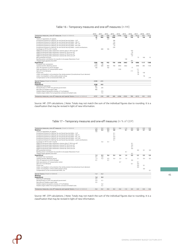#### Table 16 – Temporary measures and one-off measures (in M€)

<span id="page-44-0"></span>

|                                                                                          | 2010    | 2011   | 2012   | 2013 | 2014    | 2015    | 2016   | 2017    | 2018   | 2019    |
|------------------------------------------------------------------------------------------|---------|--------|--------|------|---------|---------|--------|---------|--------|---------|
| Temporary measures, one-off measures (impact on balance)                                 | $-2199$ | 294    | $-509$ | 580  | $-6186$ | $-2333$ | 780    | $-4213$ | $-951$ | $-1313$ |
| Revenue                                                                                  | 87      | 840    | 444    | 1280 |         | 130     | 745    | 73      | 166    | 55      |
| Taxes on repatriation of capitals                                                        | 87      |        | 259    |      |         |         |        |         |        |         |
| Exceptional Scheme for Settling Tax and Social Security Debts - VAT                      |         |        |        | 186  |         |         |        |         |        |         |
| Exceptional Scheme for Settling Tax and Social Security Debts - Oth. IT.                 |         |        |        | 116  |         |         |        |         |        |         |
| Exceptional Scheme for Settling Tax and Social Security Debts - PIT : CIT                |         |        |        | 690  |         |         |        |         |        |         |
| Exceptional Scheme for Settling Tax and Social Security Debts - IMT; IMI                 |         |        |        | 53   |         |         |        |         |        |         |
| Exceptional Scheme for Settling Tax and Social Security Debts - social contributions     |         |        |        | 234  |         |         |        |         |        |         |
| Surcharge on PIT for 2011 income                                                         |         | 840    | 185    |      |         |         |        |         |        |         |
| PERES Extraordinary debt settlement scheme other IT 2016 one-off                         |         |        |        |      |         |         | 103    |         |        |         |
| PERES Extraordinary debt settlement scheme PIT 2016 one-off                              |         |        |        |      |         |         | 29     |         |        |         |
| PERES Extraordinary debt settlement scheme CIT 2016 one-off                              |         |        |        |      |         |         | 263    |         |        |         |
| PERES Extraordinary debt settlement scheme SSC 2016 one-off                              |         |        |        |      |         |         | 47     |         |        |         |
| BPP quarantee recovery                                                                   |         |        |        |      |         |         |        | 73      | 166    | 55      |
| Banking sector contribution for transfer to European Resolution Fund                     |         |        |        |      |         | 130     |        |         |        |         |
| Prepaid margin payment from EFSF                                                         |         |        |        |      |         |         | 302    |         |        |         |
| Expenditure                                                                              | 2286    | 546    | 952    | 700  | 6186    | 2463    | $-34$  | 4286    | 1117   | 1368    |
| Proceeds from concessions                                                                | $-124$  | $-54$  |        |      |         |         |        |         |        |         |
| Capital transfers (Banking sector)                                                       | 2250    | 600    | 850    | 700  | 4994    | 2463    |        | 4098    | 892    | 1149    |
| One-off payments to the EU Budget                                                        | 160     |        | 102    |      |         |         | 77     |         |        |         |
| Debt assumptions of transportation sector                                                |         |        |        |      | 1192    |         |        | 111     |        |         |
| Sale of F-16 to Romania                                                                  |         |        |        |      |         |         | $-111$ | $-41$   |        |         |
| Forest fires                                                                             |         |        |        |      |         |         |        | 60      | 130    |         |
| Lisbon municipality's civil protection fee reimbursement (Constitutional Court decision) |         |        |        |      |         |         |        | 59      |        |         |
| Lisbon municipality's unfavourable judicial rulings                                      |         |        |        |      |         |         |        |         | 96     |         |
| Compensation to the concessionaire AEDL, SA.                                             |         |        |        |      |         |         |        |         |        | 219     |
| Special factors (impact on balance)                                                      | $-2538$ | $-612$ |        |      |         |         |        |         |        |         |
| Revenue                                                                                  |         |        |        |      |         |         |        |         |        |         |
| Expenditure                                                                              | 2538    | 612    |        |      |         |         |        |         |        |         |
| Delivery of submarines                                                                   | 881     |        |        |      |         |         |        |         |        |         |
| Reclassification of PPP into general government                                          | 756     | 226    |        |      |         |         |        |         |        |         |
| Recording of Madeira region debt                                                         | 900     |        |        |      |         |         |        |         |        |         |
| Madeira capital transactions (reclass. of Via Madeira)                                   |         | 274    |        |      |         |         |        |         |        |         |
| Madeira region debts from programme contracts & football clubs                           |         | 112    |        |      |         |         |        |         |        |         |
| Temporary measures, one-off measures and special factors (impact on balance)             | $-4737$ | $-318$ | $-509$ | 580  | $-6186$ | $-2333$ | 780    | $-4213$ | $-951$ | $-1313$ |

Source: MF. CFP calculations. | Note: Totals may not match the sum of the individual figures due to rounding. It is a classification that may be revised in light of new information.

<span id="page-44-1"></span>

| Temporary measures, one-off measures (impact on balance)                                 | $-1.2$ | 0.2    | $-0.3$ | 0.3 | $-3.6$ | $-1.3$ | 0.4    | $-2.2$ | $-0.5$ | $-0,6$ |
|------------------------------------------------------------------------------------------|--------|--------|--------|-----|--------|--------|--------|--------|--------|--------|
| Revenue                                                                                  | 0.0    | 0.5    | 0,3    | 0.8 |        | 0.1    | 0.4    | 0.0    | 0.1    | 0.0    |
| Taxes on repatriation of capitals                                                        | 0.0    |        | 0.2    |     |        |        |        |        |        |        |
| Exceptional Scheme for Settling Tax and Social Security Debts - VAT                      |        |        |        | 0.1 |        |        |        |        |        |        |
| Exceptional Scheme for Settling Tax and Social Security Debts - Oth. IT.                 |        |        |        | 0.1 |        |        |        |        |        |        |
| Exceptional Scheme for Settling Tax and Social Security Debts - PIT ; CIT                |        |        |        | 0.4 |        |        |        |        |        |        |
| Exceptional Scheme for Settling Tax and Social Security Debts - IMT; IMI                 |        |        |        | 0.0 |        |        |        |        |        |        |
| Exceptional Scheme for Settling Tax and Social Security Debts - social contributions     |        |        |        | 0.1 |        |        |        |        |        |        |
| Surcharge on PIT for 2011 income                                                         |        | 0,5    | 0,1    |     |        |        |        |        |        |        |
| PERES Extraordinary debt settlement scheme other IT 2016 one-off                         |        |        |        |     |        |        | 0.1    |        |        |        |
| PERES Extraordinary debt settlement scheme PIT 2016 one-off                              |        |        |        |     |        |        | 0.0    |        |        |        |
| PERES Extraordinary debt settlement scheme CIT 2016 one-off                              |        |        |        |     |        |        | 0.1    |        |        |        |
| PERES Extraordinary debt settlement scheme SSC 2016 one-off                              |        |        |        |     |        |        | 0.0    |        |        |        |
| BPP quarantee recovery                                                                   |        |        |        |     |        |        |        | 0.0    | 0.1    | 0,0    |
| Banking sector contribution for transfer to European Resolution Fund                     |        |        |        |     |        | 0,1    |        |        |        |        |
| Prepaid margin payment from EFSF                                                         |        |        |        |     |        |        | 0,2    |        |        |        |
| Expenditure                                                                              | 1,3    | 0,3    | 0,6    | 0,4 | 3,6    | 1,4    | 0.0    | 2.2    | 0.5    | 0.6    |
| Proceeds from concessions                                                                | $-0,1$ | 0.0    |        |     |        |        |        |        |        |        |
| Capital transfers (Banking sector)                                                       | 1,3    | 0.3    | 0.5    | 0.4 | 2.9    | 1.4    |        | 2.1    | 0.4    | 0.5    |
| One-off payments to the EU Budget                                                        | 0.1    |        | 0.1    |     |        |        | 0.0    |        |        |        |
| Debt assumptions of transportation sector                                                |        |        |        |     | 0,7    |        |        | 0.1    |        |        |
| Sale of F-16 to Romania                                                                  |        |        |        |     |        |        | $-0.1$ | 0,0    |        |        |
| Forest fires                                                                             |        |        |        |     |        |        |        | 0,0    | 0,1    |        |
| Lisbon municipality's civil protection fee reimbursement (Constitutional Court decision) |        |        |        |     |        |        |        | 0.0    |        |        |
| Lisbon municipality's unfavourable judicial rulings                                      |        |        |        |     |        |        |        |        | 0.0    |        |
| Compensation to the concessionaire AEDL, SA.                                             |        |        |        |     |        |        |        |        |        | 0,1    |
| Special factors (impact on balance)                                                      | $-1.4$ | $-0.3$ |        |     |        |        |        |        |        |        |
| Revenue                                                                                  |        |        |        |     |        |        |        |        |        |        |
| Expenditure                                                                              | 1,4    | 0,3    |        |     |        |        |        |        |        |        |
| Delivery of submarines                                                                   | 0, 5   |        |        |     |        |        |        |        |        |        |
| Reclassification of PPP into general government                                          | 0,4    | 0.1    |        |     |        |        |        |        |        |        |
| Recording of Madeira region debt                                                         | 0.5    |        |        |     |        |        |        |        |        |        |
| Madeira capital transactions (reclass. of Via Madeira)                                   |        | 0,2    |        |     |        |        |        |        |        |        |
| Madeira region debts from programme contracts & football clubs                           |        | 0.1    |        |     |        |        |        |        |        |        |
| Temporary measures, one-off measures and special factors (impact on balance)             | $-2.6$ | $-0.2$ | $-0.3$ | 0.3 | $-3.6$ | $-1.3$ | 0.4    | $-2.2$ | $-0.5$ | $-0.6$ |

Table 17 – Temporary measures and one-off measures (in % of GDP)

Source: MF. CFP calculations. | Note: Totals may not match the sum of the individual figures due to rounding. It is a classification that may be revised in light of new information.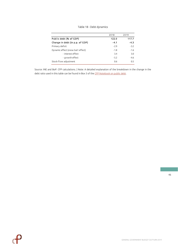|  |  |  | Table 18 - Debt dynamics |
|--|--|--|--------------------------|
|--|--|--|--------------------------|

<span id="page-45-0"></span>

|                                   | 2018   | 2019   |
|-----------------------------------|--------|--------|
| Public debt (% of GDP)            | 122.0  | 117.7  |
| Change in debt (in p.p. of GDP)   | $-4.1$ | $-4.3$ |
| Primary deficit                   | $-2.9$ | $-3.2$ |
| Dynamic effect (snow ball effect) | $-1.8$ | $-1.6$ |
| - interest effect                 | 3.4    | 3.0    |
| - growth effect                   | $-5.2$ | $-4.6$ |
| Stock-flow adjustment             | 0.6    | 0.5    |

Source: INE and BoP. CFP calculations. | Note: A detailed explanation of the breakdown in the change in the debt ratio used in this table can be found in Box 3 of th[e CFP Notebook on public debt.](https://www.cfp.pt/en/publications/other-publications/notebook-on-public-debt)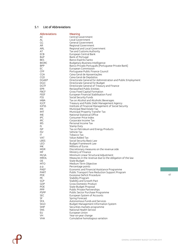# <span id="page-46-0"></span>5.1 List of Abbreviations

| Abbreviations    | Meaning                                                      |
|------------------|--------------------------------------------------------------|
| AC               | Central Government                                           |
| AL               | Local Government                                             |
| GG               | General Government                                           |
| AR.              | Regional Government                                          |
| <b>ARL</b>       | Regional and Local Government                                |
| AT               | Tax and Customs Authority                                    |
| <b>ECB</b>       | European Central Bank                                        |
| <b>BoP</b>       | Bank of Portugal                                             |
| <b>BES</b>       | Banco Espírito Santo                                         |
| <b>BIORC</b>     | Budgetary Business Intelligence                              |
| <b>BPP</b>       | Banco Privado Português [Portuguese Private Bank]            |
| EC               | European Commission                                          |
| <b>CFP</b>       | Portuguese Public Finance Council                            |
| <b>CGA</b>       | Caixa Geral de Aposentações                                  |
| <b>CGD</b>       | Caixa Geral de Depósitos                                     |
| <b>DGAEP</b>     | Directorate General for Administration and Public Employment |
| <b>DGO</b>       | Directorate General for Budget                               |
| <b>DGTF</b>      | Directorate General of Treasury and Finance                  |
| <b>EPR</b>       | Reclassified Public Entities                                 |
| <b>FBCF</b>      | Gross Fixed Capital Formation                                |
| <b>FEEF</b>      | European Financial Stabilisation Fund                        |
| <b>FSS</b>       | Social Security Funds                                        |
| <b>IABA</b>      | Tax on Alcohol and Alcoholic Beverages                       |
| <b>IGCP</b>      | Treasury and Public Debt Management Agency                   |
| <b>IGFSS</b>     | Institute of Financial Management of Social Security         |
| IMI              | Municipal Real Estate Tax                                    |
| <b>IMT</b>       | Municipal Property Transfer Tax                              |
| <b>INE</b>       | National Statistical Office                                  |
| <b>IPC</b>       | Consumer Price Index                                         |
| <b>IRC</b>       | Corporate Income Tax                                         |
| <b>IRS</b>       | Personal Income Tax                                          |
| IS.              | Stamp Duty                                                   |
| <b>ISP</b>       | Tax on Petroleum and Energy Products                         |
| <b>ISV</b>       | Vehicle Tax                                                  |
| ΙT               | Tobacco Tax                                                  |
| <b>VAT</b>       | Value Added Tax                                              |
| <b>LBSS</b>      | Social Security Basic Law                                    |
| <b>LEO</b>       | Budget Framework Law                                         |
| M€               | Millions of Euros                                            |
| <b>MDR</b>       | Discretionary measures on the revenue side                   |
| MF               | Ministry of Finance                                          |
| <b>MLSA</b>      | Minimum Linear Structural Adjustment                         |
| <b>MROL</b>      | Measures in the revenue due to the obligation of the law     |
| OE               | State Budget                                                 |
| <b>MTO</b>       | Medium Term Objective                                        |
| p.p.             | Percentage points                                            |
| PAEF             | Economic and Financial Assistance Programme                  |
| <b>PART</b>      | Public Transport Fare Reduction Support Program              |
| <b>PDE</b>       | Excessive Deficit Procedure                                  |
| <b>PE</b>        | Stability Program                                            |
| <b>SGP</b>       | Stability and Growth Pact                                    |
| <b>GDP</b>       | <b>Gross Domestic Product</b>                                |
| POE              | State Budget Proposal                                        |
| <b>PPP</b>       | Public Private Partnerships                                  |
| <b>PSPP</b>      | Public Sector Purchase Programme                             |
| SEC              | European System of Accounts                                  |
| <b>SF</b>        | Spring Forecast                                              |
| <b>SFA</b>       | Autonomous Funds and Services                                |
| <b>SIGO</b>      | Budget Management Information System                         |
| <b>SMP</b>       | Securities markets programme                                 |
| <b>SNS</b><br>EU | National Health Service<br>European Union                    |
| VH               | Year-on-year change                                          |
| <b>VHA</b>       | Cumulative homologous variation                              |
|                  |                                                              |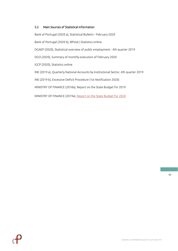# <span id="page-47-0"></span>5.2 Main Sources of Statistical Information

Bank of Portugal (2020 a), Statistical Bulletin - February 2020 Bank of Portugal (2020 b), BPstat | Statistics online DGAEP (2020), Statistical overview of public employment - 4th quarter 2019 DGO (2020), Summary of monthly execution of February 2020 IGCP (2020), Statistics online INE (2019 a), Quarterly National Accounts by Institutional Sector, 4th quarter 2019 INE (2019 b), Excessive Deficit Procedure (1st Notification 2020) MINISTRY OF FINANCE (2018a), Report on the State Budget for 2019

MINISTRY OF FINANCE (2019a), [Report on the State Budget for](http://app.parlamento.pt/webutils/docs/doc.pdf?path=6148523063446f764c324679595842774f6a63334e7a637664326c756157357059326c6864476c3259584d7657456c574c33526c6548527663793977634777314c56684a566c38794d6935775a47593d&fich=ppl5-XIV_22.pdf&Inline=true) 2020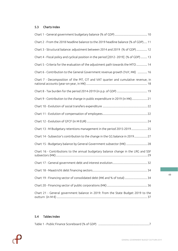# <span id="page-48-0"></span>5.3 Charts Index

| Chart 2 - From the 2018 headline balance to the 2019 headline balance (% of GDP) 11    |
|----------------------------------------------------------------------------------------|
| Chart 3 - Structural balance: adjustment between 2014 and 2019 (% of GDP)  12          |
| Chart 4 - Fiscal policy and cyclical position in the period [2012-2019] (% of GDP)  13 |
| Chart 5 - Criteria for the evaluation of the adjustment path towards the MTO  14       |
| Chart 6 - Contribution to the General Government revenue growth (YoY, M€)  16          |
| Chart 7 - Decomposition of the PIT, CIT and VAT quarter and cumulative revenue, in     |
|                                                                                        |
| Chart 9 - Contribution to the change in public expenditure in 2019 (in M€) 21          |
|                                                                                        |
|                                                                                        |
|                                                                                        |
| Chart 13 - M Budgetary retentions management in the period 2015-2019  25               |
| Chart 14 - Subsector's contribution to the change in the GG balance in 2019 27         |
| Chart 15 - Budgetary balance by General Government subsector (M€)  28                  |
| Chart 16 - Contributions to the annual budgetary balance change in the LRG and SSF     |
|                                                                                        |
|                                                                                        |
| Chart 19 - Financing sector of consolidated debt (M€ and % of total)  34               |
|                                                                                        |
| Chart 21 - General government balance in 2019: from the State Budget 2019 to the       |

# <span id="page-48-1"></span>5.4 Tables Index

| Table 1 - Public Finance Scoreboard (% of GDP) |  |
|------------------------------------------------|--|
|------------------------------------------------|--|